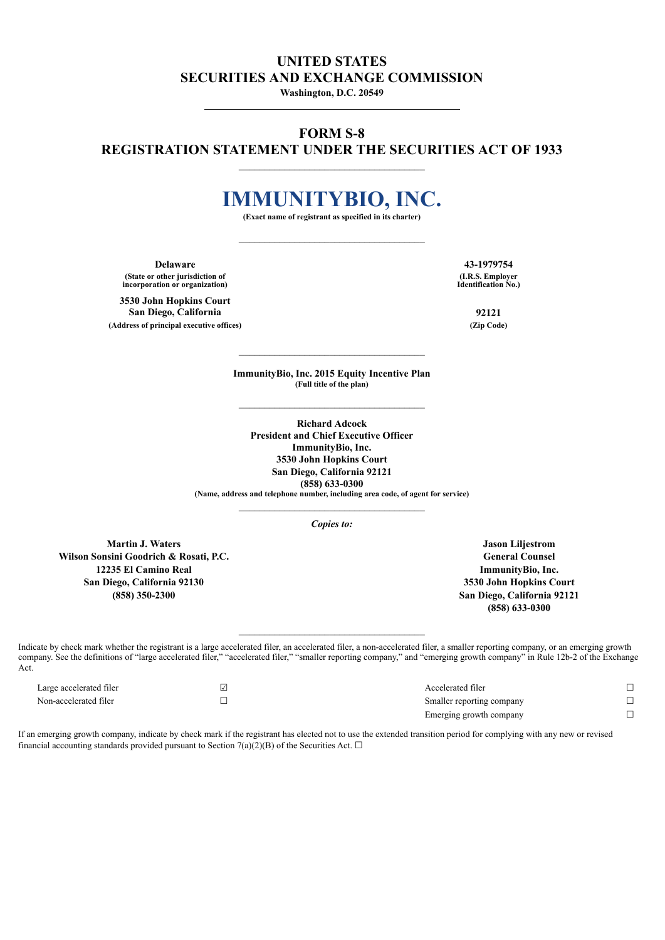## **UNITED STATES SECURITIES AND EXCHANGE COMMISSION**

**Washington, D.C. 20549**

## **FORM S-8 REGISTRATION STATEMENT UNDER THE SECURITIES ACT OF 1933**

\_\_\_\_\_\_\_\_\_\_\_\_\_\_\_\_\_\_\_\_\_\_\_\_\_\_\_\_\_\_\_\_\_\_\_\_\_

## **IMMUNITYBIO, INC.**

**(Exact name of registrant as specified in its charter)**

**Delaware 43-1979754 (State or other jurisdiction of incorporation or organization)**

**3530 John Hopkins Court San Diego, California 92121 (Address of principal executive offices) (Zip Code)**

**(I.R.S. Employer Identification No.)**

**ImmunityBio, Inc. 2015 Equity Incentive Plan (Full title of the plan)**

**Richard Adcock President and Chief Executive Officer ImmunityBio, Inc. 3530 John Hopkins Court San Diego, California 92121 (858) 633-0300 (Name, address and telephone number, including area code, of agent for service)**

*Copies to:*

**Martin J. Waters Jason Liljestrom Wilson Sonsini Goodrich & Rosati, P.C. General Counsel 12235 El Camino Real ImmunityBio, Inc. San Diego, California 92130 3530 John Hopkins Court**

**(858) 350-2300 San Diego, California 92121 (858) 633-0300**

Indicate by check mark whether the registrant is a large accelerated filer, an accelerated filer, a non-accelerated filer, a smaller reporting company, or an emerging growth company. See the definitions of "large accelerated filer," "accelerated filer," "smaller reporting company," and "emerging growth company" in Rule 12b-2 of the Exchange Act.

| Large accelerated filer | Accelerated filer         |  |
|-------------------------|---------------------------|--|
| Non-accelerated filer   | Smaller reporting company |  |
|                         | Emerging growth company   |  |

If an emerging growth company, indicate by check mark if the registrant has elected not to use the extended transition period for complying with any new or revised financial accounting standards provided pursuant to Section 7(a)(2)(B) of the Securities Act.  $\Box$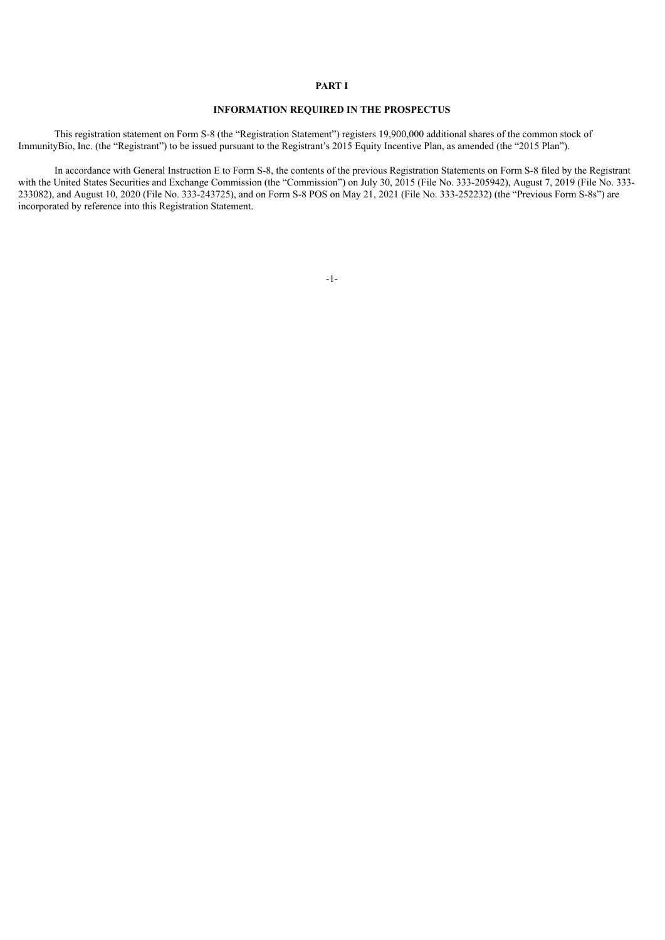#### **PART I**

#### **INFORMATION REQUIRED IN THE PROSPECTUS**

This registration statement on Form S-8 (the "Registration Statement") registers 19,900,000 additional shares of the common stock of ImmunityBio, Inc. (the "Registrant") to be issued pursuant to the Registrant's 2015 Equity Incentive Plan, as amended (the "2015 Plan").

In accordance with General Instruction E to Form S-8, the contents of the previous Registration Statements on Form S-8 filed by the Registrant with the United States Securities and Exchange Commission (the "Commission") on July 30, 2015 (File No. 333-205942), August 7, 2019 (File No. 333-233082), and August 10, 2020 (File No. 333-243725), and on Form S-8 POS on May 21, 2021 (File No. 333-252232) (the "Previous Form S-8s") are incorporated by reference into this Registration Statement.

-1-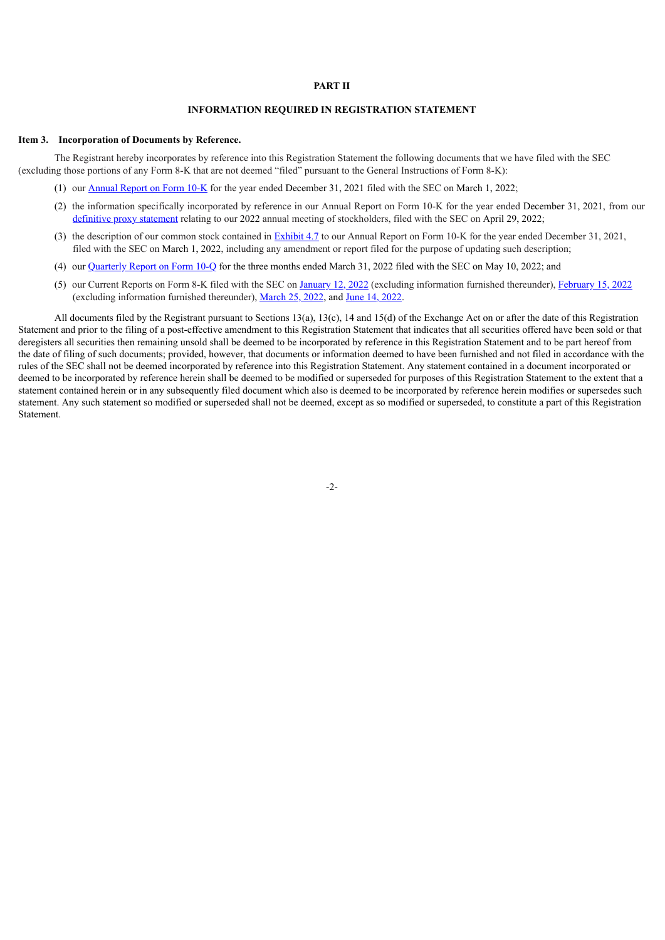#### **PART II**

#### **INFORMATION REQUIRED IN REGISTRATION STATEMENT**

#### **Item 3. Incorporation of Documents by Reference.**

The Registrant hereby incorporates by reference into this Registration Statement the following documents that we have filed with the SEC (excluding those portions of any Form 8-K that are not deemed "filed" pursuant to the General Instructions of Form 8-K):

- (1) our [Annual](https://www.sec.gov/Archives/edgar/data/1326110/000132611022000011/ibrx-20211231.htm) Report on Form [10-K](https://www.sec.gov/Archives/edgar/data/1326110/000132611022000011/ibrx-20211231.htm) for the year ended December 31, 2021 filed with the SEC on March 1, 2022;
- (2) the information specifically incorporated by reference in our Annual Report on Form 10-K for the year ended December 31, 2021, from our [definitive](https://www.sec.gov/Archives/edgar/data/1326110/000119312522133671/d238255ddef14a.htm) proxy statement relating to our 2022 annual meeting of stockholders, filed with the SEC on April 29, 2022;
- (3) the description of our common stock contained in [Exhibit](https://www.sec.gov/Archives/edgar/data/1326110/000132611022000011/ibrx-20211231x10kexhibit47.htm) [4.7](https://www.sec.gov/Archives/edgar/data/1326110/000132611022000011/ibrx-20211231x10kexhibit47.htm) to our Annual Report on Form 10-K for the year ended December 31, 2021, filed with the SEC on March 1, 2022, including any amendment or report filed for the purpose of updating such description;
- (4) our [Quarterly](https://www.sec.gov/Archives/edgar/data/1326110/000132611022000027/ibrx-20220331.htm) Report on Form 10-Q for the three months ended March 31, 2022 filed with the SEC on May 10, 2022; and
- (5) our Current Reports on Form 8-K filed with the SEC on [January](https://www.sec.gov/Archives/edgar/data/1326110/000119312522007333/d276464d8k.htm) 12, 2022 (excluding information furnished thereunder), [February](https://www.sec.gov/Archives/edgar/data/1326110/000119312522042967/d318218d8k.htm) 15, 2022 (excluding information furnished thereunder), [March](https://www.sec.gov/Archives/edgar/data/1326110/000119312522085325/d264903d8k.htm) 25, 2022, and June 14, [2022.](https://www.sec.gov/Archives/edgar/data/1326110/000132611022000038/ibrx-20220614.htm)

All documents filed by the Registrant pursuant to Sections 13(a), 13(c), 14 and 15(d) of the Exchange Act on or after the date of this Registration Statement and prior to the filing of a post-effective amendment to this Registration Statement that indicates that all securities offered have been sold or that deregisters all securities then remaining unsold shall be deemed to be incorporated by reference in this Registration Statement and to be part hereof from the date of filing of such documents; provided, however, that documents or information deemed to have been furnished and not filed in accordance with the rules of the SEC shall not be deemed incorporated by reference into this Registration Statement. Any statement contained in a document incorporated or deemed to be incorporated by reference herein shall be deemed to be modified or superseded for purposes of this Registration Statement to the extent that a statement contained herein or in any subsequently filed document which also is deemed to be incorporated by reference herein modifies or supersedes such statement. Any such statement so modified or superseded shall not be deemed, except as so modified or superseded, to constitute a part of this Registration Statement.

-2-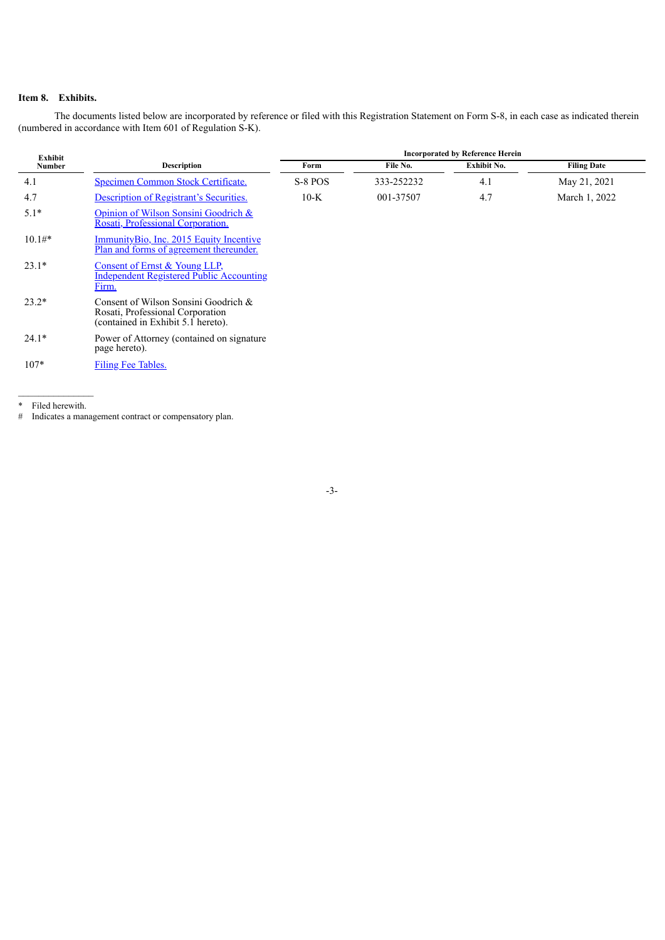## **Item 8. Exhibits.**

The documents listed below are incorporated by reference or filed with this Registration Statement on Form S-8, in each case as indicated therein (numbered in accordance with Item 601 of Regulation S-K).

| Exhibit  |                                                                                                                | <b>Incorporated by Reference Herein</b> |            |                    |                    |  |
|----------|----------------------------------------------------------------------------------------------------------------|-----------------------------------------|------------|--------------------|--------------------|--|
| Number   | <b>Description</b>                                                                                             | Form                                    | File No.   | <b>Exhibit No.</b> | <b>Filing Date</b> |  |
| 4.1      | Specimen Common Stock Certificate.                                                                             | S-8 POS                                 | 333-252232 | 4.1                | May 21, 2021       |  |
| 4.7      | <b>Description of Registrant's Securities.</b>                                                                 | $10-K$                                  | 001-37507  | 4.7                | March 1, 2022      |  |
| $5.1*$   | Opinion of Wilson Sonsini Goodrich &<br>Rosati, Professional Corporation.                                      |                                         |            |                    |                    |  |
| $10.1#*$ | ImmunityBio, Inc. 2015 Equity Incentive<br>Plan and forms of agreement thereunder.                             |                                         |            |                    |                    |  |
| $23.1*$  | Consent of Ernst & Young LLP,<br><b>Independent Registered Public Accounting</b><br>Firm.                      |                                         |            |                    |                    |  |
| $23.2*$  | Consent of Wilson Sonsini Goodrich &<br>Rosati, Professional Corporation<br>(contained in Exhibit 5.1 hereto). |                                         |            |                    |                    |  |
| $24.1*$  | Power of Attorney (contained on signature)<br>page hereto).                                                    |                                         |            |                    |                    |  |
| $107*$   | Filing Fee Tables.                                                                                             |                                         |            |                    |                    |  |

-3-

 $\frac{1}{2}$  , where  $\frac{1}{2}$  , where  $\frac{1}{2}$ \* Filed herewith.

# Indicates a management contract or compensatory plan.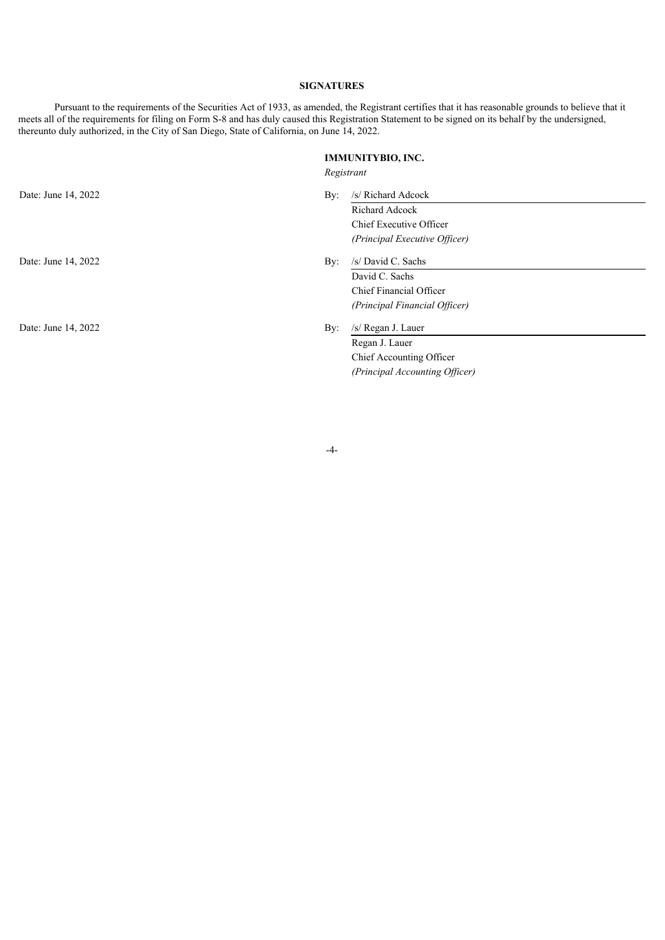## **SIGNATURES**

Pursuant to the requirements of the Securities Act of 1933, as amended, the Registrant certifies that it has reasonable grounds to believe that it meets all of the requirements for filing on Form S-8 and has duly caused this Registration Statement to be signed on its behalf by the undersigned, thereunto duly authorized, in the City of San Diego, State of California, on June 14, 2022.

## **IMMUNITYBIO, INC.**

*Registrant*

| Date: June 14, 2022 | By:        | /s/ Richard Adcock             |  |
|---------------------|------------|--------------------------------|--|
|                     |            | Richard Adcock                 |  |
|                     |            | Chief Executive Officer        |  |
|                     |            | (Principal Executive Officer)  |  |
| Date: June 14, 2022 | $\rm\,By:$ | /s/ David C. Sachs             |  |
|                     |            | David C. Sachs                 |  |
|                     |            | Chief Financial Officer        |  |
|                     |            | (Principal Financial Officer)  |  |
| Date: June 14, 2022 | By:        | /s/ Regan J. Lauer             |  |
|                     |            | Regan J. Lauer                 |  |
|                     |            | Chief Accounting Officer       |  |
|                     |            | (Principal Accounting Officer) |  |

-4-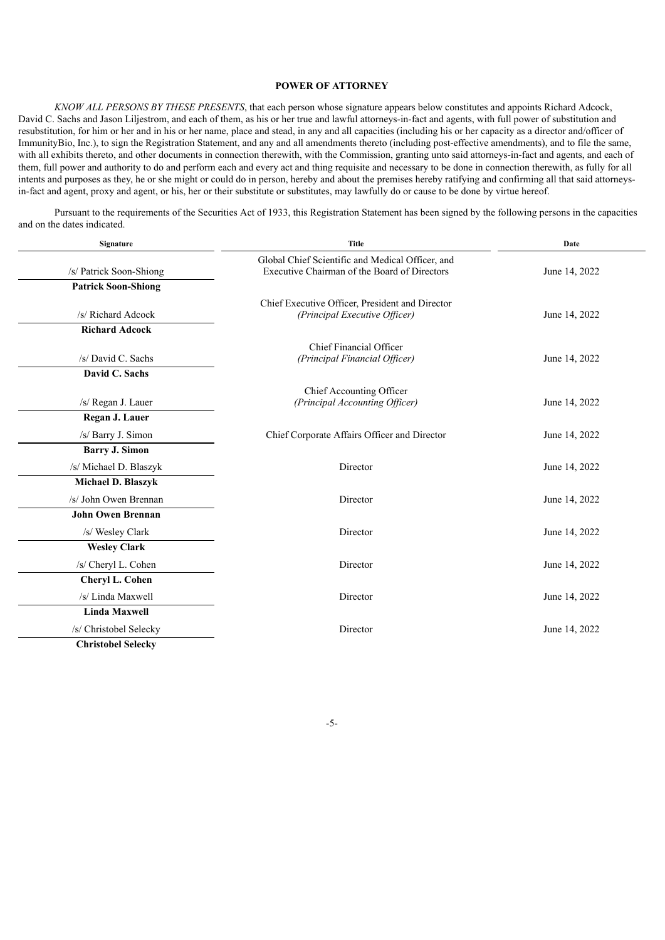#### **POWER OF ATTORNEY**

*KNOW ALL PERSONS BY THESE PRESENTS*, that each person whose signature appears below constitutes and appoints Richard Adcock, David C. Sachs and Jason Liljestrom, and each of them, as his or her true and lawful attorneys-in-fact and agents, with full power of substitution and resubstitution, for him or her and in his or her name, place and stead, in any and all capacities (including his or her capacity as a director and/officer of ImmunityBio, Inc.), to sign the Registration Statement, and any and all amendments thereto (including post-effective amendments), and to file the same, with all exhibits thereto, and other documents in connection therewith, with the Commission, granting unto said attorneys-in-fact and agents, and each of them, full power and authority to do and perform each and every act and thing requisite and necessary to be done in connection therewith, as fully for all intents and purposes as they, he or she might or could do in person, hereby and about the premises hereby ratifying and confirming all that said attorneysin-fact and agent, proxy and agent, or his, her or their substitute or substitutes, may lawfully do or cause to be done by virtue hereof.

Pursuant to the requirements of the Securities Act of 1933, this Registration Statement has been signed by the following persons in the capacities and on the dates indicated.

| Signature                  | <b>Title</b>                                                                                     | Date          |  |
|----------------------------|--------------------------------------------------------------------------------------------------|---------------|--|
| /s/ Patrick Soon-Shiong    | Global Chief Scientific and Medical Officer, and<br>Executive Chairman of the Board of Directors | June 14, 2022 |  |
| <b>Patrick Soon-Shiong</b> |                                                                                                  |               |  |
| /s/ Richard Adcock         | Chief Executive Officer, President and Director<br>(Principal Executive Officer)                 | June 14, 2022 |  |
| <b>Richard Adcock</b>      |                                                                                                  |               |  |
| /s/ David C. Sachs         | Chief Financial Officer<br>(Principal Financial Officer)                                         | June 14, 2022 |  |
| David C. Sachs             |                                                                                                  |               |  |
| /s/ Regan J. Lauer         | Chief Accounting Officer<br>(Principal Accounting Officer)                                       | June 14, 2022 |  |
| Regan J. Lauer             |                                                                                                  |               |  |
| /s/ Barry J. Simon         | Chief Corporate Affairs Officer and Director                                                     | June 14, 2022 |  |
| <b>Barry J. Simon</b>      |                                                                                                  |               |  |
| /s/ Michael D. Blaszyk     | Director                                                                                         | June 14, 2022 |  |
| Michael D. Blaszyk         |                                                                                                  |               |  |
| /s/ John Owen Brennan      | Director                                                                                         | June 14, 2022 |  |
| <b>John Owen Brennan</b>   |                                                                                                  |               |  |
| /s/ Wesley Clark           | Director                                                                                         | June 14, 2022 |  |
| <b>Wesley Clark</b>        |                                                                                                  |               |  |
| /s/ Cheryl L. Cohen        | Director                                                                                         | June 14, 2022 |  |
| Cheryl L. Cohen            |                                                                                                  |               |  |
| /s/ Linda Maxwell          | Director                                                                                         | June 14, 2022 |  |
| <b>Linda Maxwell</b>       |                                                                                                  |               |  |
| /s/ Christobel Selecky     | Director                                                                                         | June 14, 2022 |  |
| <b>Christobel Selecky</b>  |                                                                                                  |               |  |

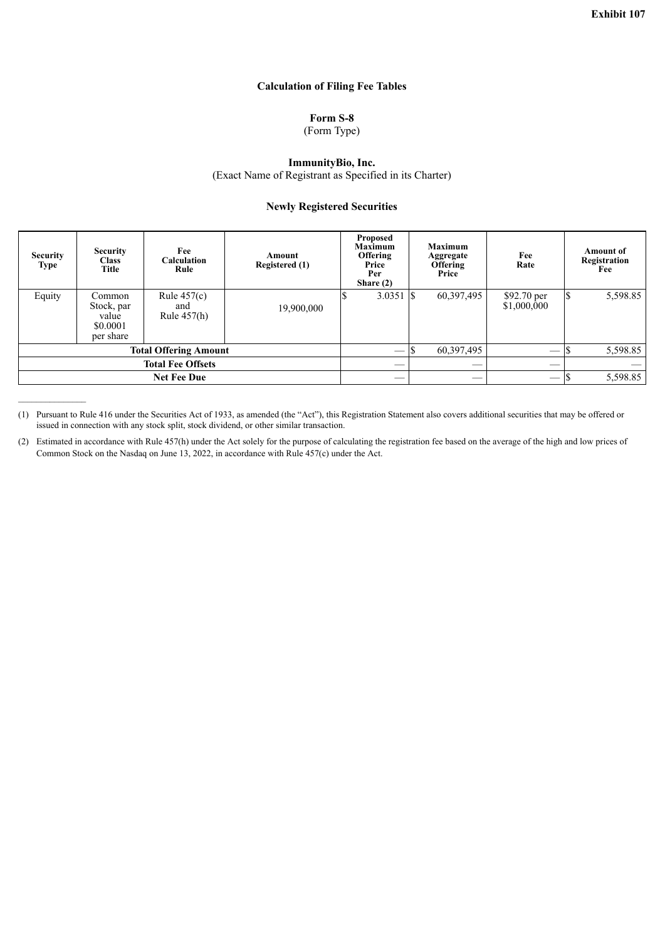## **Calculation of Filing Fee Tables**

## **Form S-8**

(Form Type)

#### **ImmunityBio, Inc.**

(Exact Name of Registrant as Specified in its Charter)

#### **Newly Registered Securities**

<span id="page-6-0"></span>

| <b>Security</b><br>Type      | <b>Security</b><br><b>Class</b><br>Title               | Fee<br><b>Calculation</b><br>Rule     | Amount<br>Registered (1) | <b>Proposed</b><br><b>Maximum</b><br>Offering<br>Price<br>Per<br>Share $(2)$ | <b>Maximum</b><br>Aggregate<br><b>Offering</b><br>Price | Fee<br>Rate                     | <b>Amount</b> of<br>Registration<br>Fee |
|------------------------------|--------------------------------------------------------|---------------------------------------|--------------------------|------------------------------------------------------------------------------|---------------------------------------------------------|---------------------------------|-----------------------------------------|
| Equity                       | Common<br>Stock, par<br>value<br>\$0.0001<br>per share | Rule $457(c)$<br>and<br>Rule $457(h)$ | 19,900,000               | 3.0351                                                                       | 60,397,495<br>IS                                        | \$92.70 per<br>\$1,000,000      | \$<br>5,598.85                          |
| <b>Total Offering Amount</b> |                                                        |                                       |                          | 60,397,495                                                                   |                                                         | 5,598.85                        |                                         |
| <b>Total Fee Offsets</b>     |                                                        |                                       |                          |                                                                              |                                                         |                                 |                                         |
|                              |                                                        | <b>Net Fee Due</b>                    |                          |                                                                              |                                                         | $\hspace{0.1mm}-\hspace{0.1mm}$ | 5,598.85                                |

<sup>(1)</sup> Pursuant to Rule 416 under the Securities Act of 1933, as amended (the "Act"), this Registration Statement also covers additional securities that may be offered or issued in connection with any stock split, stock dividend, or other similar transaction.

 $\mathcal{L}_\text{max}$  and  $\mathcal{L}_\text{max}$ 

<sup>(2)</sup> Estimated in accordance with Rule 457(h) under the Act solely for the purpose of calculating the registration fee based on the average of the high and low prices of Common Stock on the Nasdaq on June 13, 2022, in accordance with Rule 457(c) under the Act.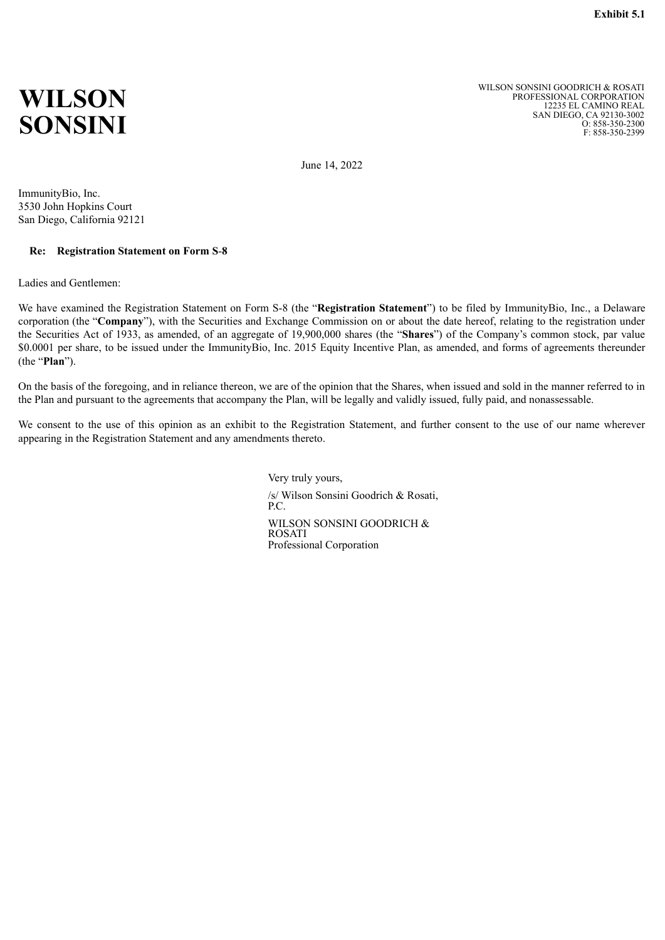# <span id="page-7-0"></span>**WILSON SONSINI**

WILSON SONSINI GOODRICH & ROSATI PROFESSIONAL CORPORATION 12235 EL CAMINO REAL SAN DIEGO, CA 92130-3002 O: 858-350-2300 F: 858-350-2399

June 14, 2022

ImmunityBio, Inc. 3530 John Hopkins Court San Diego, California 92121

### **Re: Registration Statement on Form S**-**8**

Ladies and Gentlemen:

We have examined the Registration Statement on Form S-8 (the "**Registration Statement**") to be filed by ImmunityBio, Inc., a Delaware corporation (the "**Company**"), with the Securities and Exchange Commission on or about the date hereof, relating to the registration under the Securities Act of 1933, as amended, of an aggregate of 19,900,000 shares (the "**Shares**") of the Company's common stock, par value \$0.0001 per share, to be issued under the ImmunityBio, Inc. 2015 Equity Incentive Plan, as amended, and forms of agreements thereunder (the "**Plan**").

On the basis of the foregoing, and in reliance thereon, we are of the opinion that the Shares, when issued and sold in the manner referred to in the Plan and pursuant to the agreements that accompany the Plan, will be legally and validly issued, fully paid, and nonassessable.

We consent to the use of this opinion as an exhibit to the Registration Statement, and further consent to the use of our name wherever appearing in the Registration Statement and any amendments thereto.

> Very truly yours, /s/ Wilson Sonsini Goodrich & Rosati, P.C. WILSON SONSINI GOODRICH & ROSATI Professional Corporation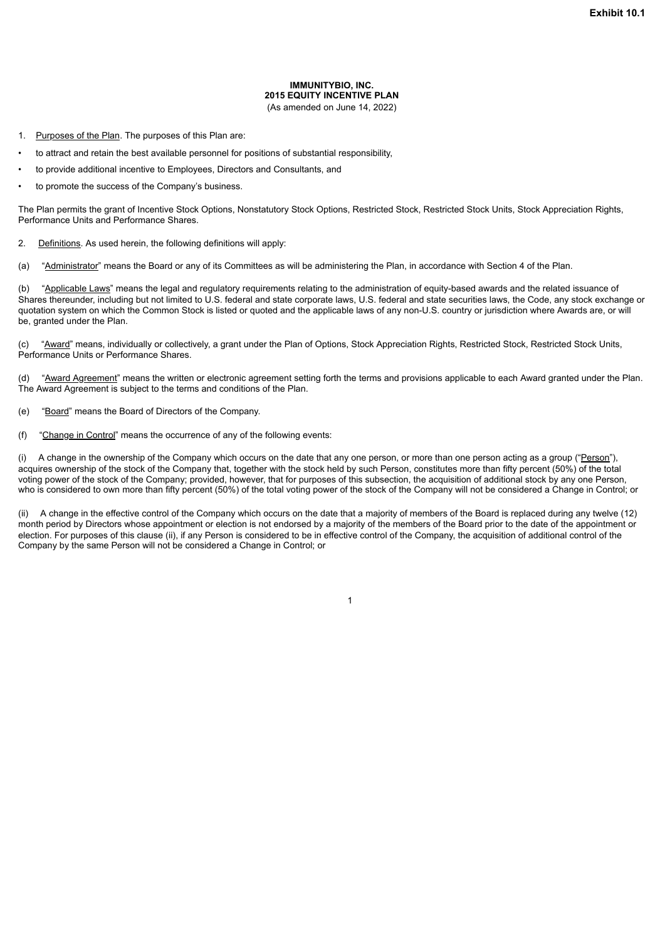#### **IMMUNITYBIO, INC. 2015 EQUITY INCENTIVE PLAN** (As amended on June 14, 2022)

- <span id="page-8-0"></span>1. Purposes of the Plan. The purposes of this Plan are:
- to attract and retain the best available personnel for positions of substantial responsibility,
- to provide additional incentive to Employees, Directors and Consultants, and
- to promote the success of the Company's business.

The Plan permits the grant of Incentive Stock Options, Nonstatutory Stock Options, Restricted Stock, Restricted Stock Units, Stock Appreciation Rights, Performance Units and Performance Shares.

2. Definitions. As used herein, the following definitions will apply:

(a) "Administrator" means the Board or any of its Committees as will be administering the Plan, in accordance with Section 4 of the Plan.

(b) "Applicable Laws" means the legal and regulatory requirements relating to the administration of equity-based awards and the related issuance of Shares thereunder, including but not limited to U.S. federal and state corporate laws, U.S. federal and state securities laws, the Code, any stock exchange or quotation system on which the Common Stock is listed or quoted and the applicable laws of any non-U.S. country or jurisdiction where Awards are, or will be, granted under the Plan.

(c) "Award" means, individually or collectively, a grant under the Plan of Options, Stock Appreciation Rights, Restricted Stock, Restricted Stock Units, Performance Units or Performance Shares.

(d) "Award Agreement" means the written or electronic agreement setting forth the terms and provisions applicable to each Award granted under the Plan. The Award Agreement is subject to the terms and conditions of the Plan.

- (e) "Board" means the Board of Directors of the Company.
- (f) "Change in Control" means the occurrence of any of the following events:

(i) A change in the ownership of the Company which occurs on the date that any one person, or more than one person acting as a group ("Person"), acquires ownership of the stock of the Company that, together with the stock held by such Person, constitutes more than fifty percent (50%) of the total voting power of the stock of the Company; provided, however, that for purposes of this subsection, the acquisition of additional stock by any one Person, who is considered to own more than fifty percent (50%) of the total voting power of the stock of the Company will not be considered a Change in Control; or

A change in the effective control of the Company which occurs on the date that a majority of members of the Board is replaced during any twelve (12) month period by Directors whose appointment or election is not endorsed by a majority of the members of the Board prior to the date of the appointment or election. For purposes of this clause (ii), if any Person is considered to be in effective control of the Company, the acquisition of additional control of the Company by the same Person will not be considered a Change in Control; or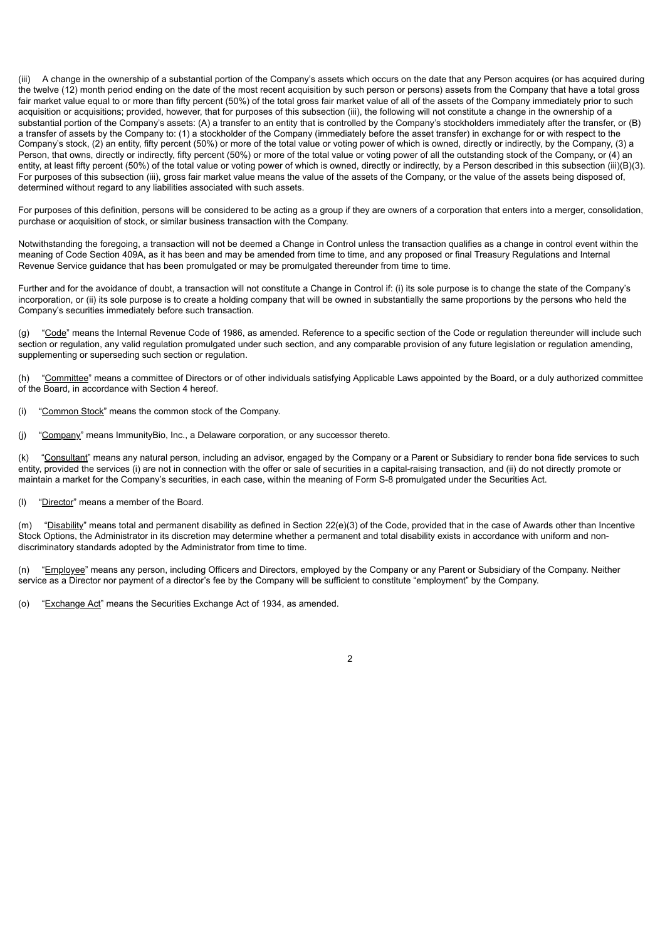(iii) A change in the ownership of a substantial portion of the Company's assets which occurs on the date that any Person acquires (or has acquired during the twelve (12) month period ending on the date of the most recent acquisition by such person or persons) assets from the Company that have a total gross fair market value equal to or more than fifty percent (50%) of the total gross fair market value of all of the assets of the Company immediately prior to such acquisition or acquisitions; provided, however, that for purposes of this subsection (iii), the following will not constitute a change in the ownership of a substantial portion of the Company's assets: (A) a transfer to an entity that is controlled by the Company's stockholders immediately after the transfer, or (B) a transfer of assets by the Company to: (1) a stockholder of the Company (immediately before the asset transfer) in exchange for or with respect to the Company's stock, (2) an entity, fifty percent (50%) or more of the total value or voting power of which is owned, directly or indirectly, by the Company, (3) a Person, that owns, directly or indirectly, fifty percent (50%) or more of the total value or voting power of all the outstanding stock of the Company, or (4) an entity, at least fifty percent (50%) of the total value or voting power of which is owned, directly or indirectly, by a Person described in this subsection (iii)(B)(3). For purposes of this subsection (iii), gross fair market value means the value of the assets of the Company, or the value of the assets being disposed of, determined without regard to any liabilities associated with such assets.

For purposes of this definition, persons will be considered to be acting as a group if they are owners of a corporation that enters into a merger, consolidation, purchase or acquisition of stock, or similar business transaction with the Company.

Notwithstanding the foregoing, a transaction will not be deemed a Change in Control unless the transaction qualifies as a change in control event within the meaning of Code Section 409A, as it has been and may be amended from time to time, and any proposed or final Treasury Regulations and Internal Revenue Service guidance that has been promulgated or may be promulgated thereunder from time to time.

Further and for the avoidance of doubt, a transaction will not constitute a Change in Control if: (i) its sole purpose is to change the state of the Company's incorporation, or (ii) its sole purpose is to create a holding company that will be owned in substantially the same proportions by the persons who held the Company's securities immediately before such transaction.

(g) "Code" means the Internal Revenue Code of 1986, as amended. Reference to a specific section of the Code or regulation thereunder will include such section or regulation, any valid regulation promulgated under such section, and any comparable provision of any future legislation or regulation amending, supplementing or superseding such section or regulation.

(h) "Committee" means a committee of Directors or of other individuals satisfying Applicable Laws appointed by the Board, or a duly authorized committee of the Board, in accordance with Section 4 hereof.

(i) "Common Stock" means the common stock of the Company.

(j) "Company" means ImmunityBio, Inc., a Delaware corporation, or any successor thereto.

(k) "Consultant" means any natural person, including an advisor, engaged by the Company or a Parent or Subsidiary to render bona fide services to such entity, provided the services (i) are not in connection with the offer or sale of securities in a capital-raising transaction, and (ii) do not directly promote or maintain a market for the Company's securities, in each case, within the meaning of Form S-8 promulgated under the Securities Act.

(l) "Director" means a member of the Board.

(m) "Disability" means total and permanent disability as defined in Section 22(e)(3) of the Code, provided that in the case of Awards other than Incentive Stock Options, the Administrator in its discretion may determine whether a permanent and total disability exists in accordance with uniform and nondiscriminatory standards adopted by the Administrator from time to time.

(n) "Employee" means any person, including Officers and Directors, employed by the Company or any Parent or Subsidiary of the Company. Neither service as a Director nor payment of a director's fee by the Company will be sufficient to constitute "employment" by the Company.

(o) "Exchange Act" means the Securities Exchange Act of 1934, as amended.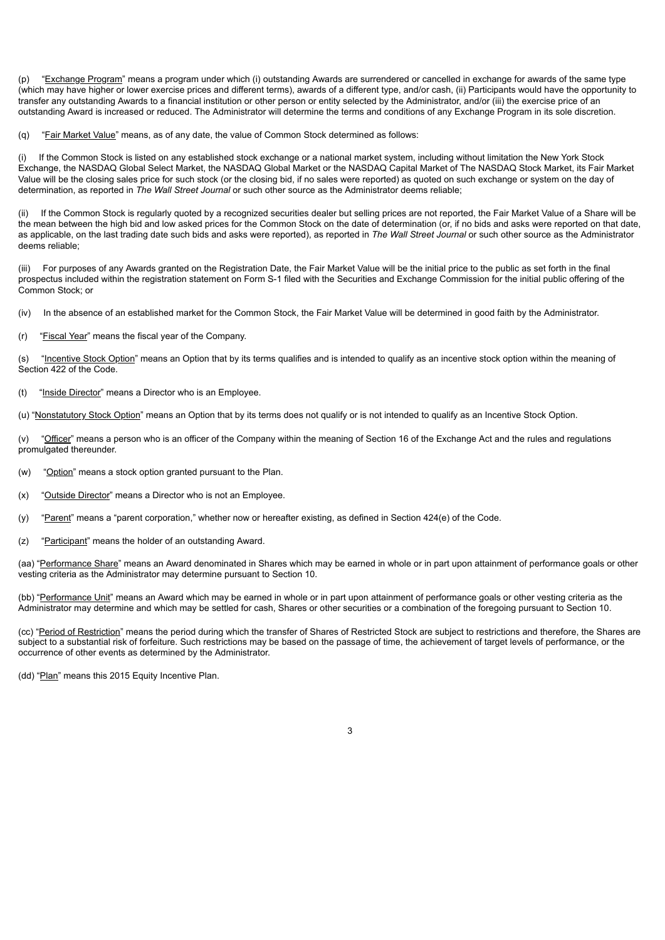(p) "Exchange Program" means a program under which (i) outstanding Awards are surrendered or cancelled in exchange for awards of the same type (which may have higher or lower exercise prices and different terms), awards of a different type, and/or cash, (ii) Participants would have the opportunity to transfer any outstanding Awards to a financial institution or other person or entity selected by the Administrator, and/or (iii) the exercise price of an outstanding Award is increased or reduced. The Administrator will determine the terms and conditions of any Exchange Program in its sole discretion.

(q) "Fair Market Value" means, as of any date, the value of Common Stock determined as follows:

(i) If the Common Stock is listed on any established stock exchange or a national market system, including without limitation the New York Stock Exchange, the NASDAQ Global Select Market, the NASDAQ Global Market or the NASDAQ Capital Market of The NASDAQ Stock Market, its Fair Market Value will be the closing sales price for such stock (or the closing bid, if no sales were reported) as quoted on such exchange or system on the day of determination, as reported in *The Wall Street Journal* or such other source as the Administrator deems reliable;

(ii) If the Common Stock is regularly quoted by a recognized securities dealer but selling prices are not reported, the Fair Market Value of a Share will be the mean between the high bid and low asked prices for the Common Stock on the date of determination (or, if no bids and asks were reported on that date, as applicable, on the last trading date such bids and asks were reported), as reported in *The Wall Street Journal* or such other source as the Administrator deems reliable;

(iii) For purposes of any Awards granted on the Registration Date, the Fair Market Value will be the initial price to the public as set forth in the final prospectus included within the registration statement on Form S-1 filed with the Securities and Exchange Commission for the initial public offering of the Common Stock; or

(iv) In the absence of an established market for the Common Stock, the Fair Market Value will be determined in good faith by the Administrator.

(r) "Fiscal Year" means the fiscal year of the Company.

(s) "Incentive Stock Option" means an Option that by its terms qualifies and is intended to qualify as an incentive stock option within the meaning of Section 422 of the Code.

(t) "Inside Director" means a Director who is an Employee.

(u) "Nonstatutory Stock Option" means an Option that by its terms does not qualify or is not intended to qualify as an Incentive Stock Option.

(v) "Officer" means a person who is an officer of the Company within the meaning of Section 16 of the Exchange Act and the rules and regulations promulgated thereunder.

(w) "Option" means a stock option granted pursuant to the Plan.

(x) "Outside Director" means a Director who is not an Employee.

(y) "Parent" means a "parent corporation," whether now or hereafter existing, as defined in Section 424(e) of the Code.

(z) "Participant" means the holder of an outstanding Award.

(aa) "Performance Share" means an Award denominated in Shares which may be earned in whole or in part upon attainment of performance goals or other vesting criteria as the Administrator may determine pursuant to Section 10.

(bb) "Performance Unit" means an Award which may be earned in whole or in part upon attainment of performance goals or other vesting criteria as the Administrator may determine and which may be settled for cash, Shares or other securities or a combination of the foregoing pursuant to Section 10.

(cc) "Period of Restriction" means the period during which the transfer of Shares of Restricted Stock are subject to restrictions and therefore, the Shares are subject to a substantial risk of forfeiture. Such restrictions may be based on the passage of time, the achievement of target levels of performance, or the occurrence of other events as determined by the Administrator.

(dd) "Plan" means this 2015 Equity Incentive Plan.

 $\overline{a}$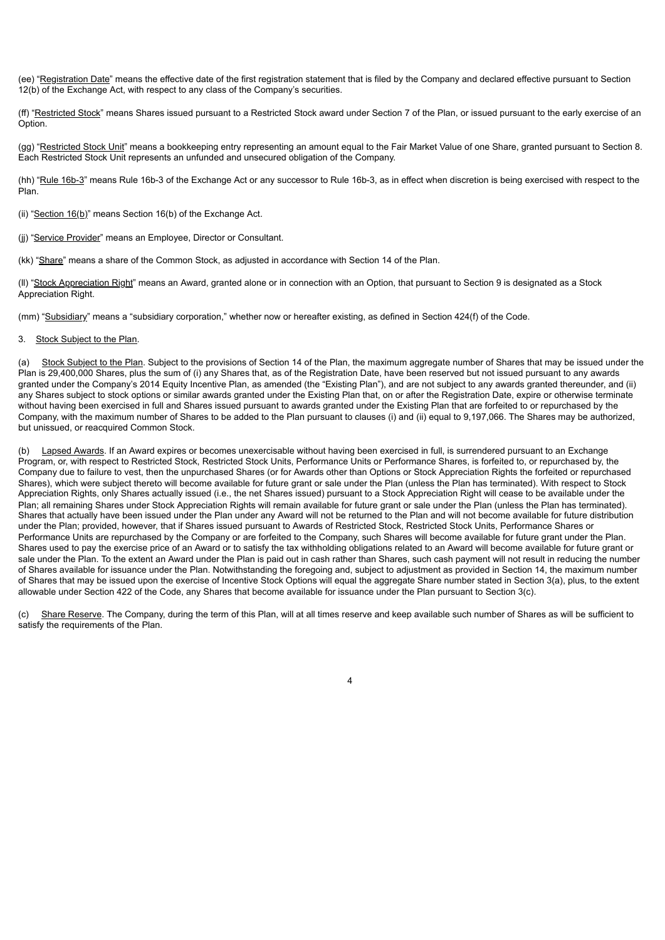(ee) "Registration Date" means the effective date of the first registration statement that is filed by the Company and declared effective pursuant to Section 12(b) of the Exchange Act, with respect to any class of the Company's securities.

(ff) "Restricted Stock" means Shares issued pursuant to a Restricted Stock award under Section 7 of the Plan, or issued pursuant to the early exercise of an Option.

(gg) "Restricted Stock Unit" means a bookkeeping entry representing an amount equal to the Fair Market Value of one Share, granted pursuant to Section 8. Each Restricted Stock Unit represents an unfunded and unsecured obligation of the Company.

(hh) "Rule 16b-3" means Rule 16b-3 of the Exchange Act or any successor to Rule 16b-3, as in effect when discretion is being exercised with respect to the Plan.

(ii) "Section 16(b)" means Section 16(b) of the Exchange Act.

- (jj) "Service Provider" means an Employee, Director or Consultant.
- (kk) "Share" means a share of the Common Stock, as adjusted in accordance with Section 14 of the Plan.

(II) "Stock Appreciation Right" means an Award, granted alone or in connection with an Option, that pursuant to Section 9 is designated as a Stock Appreciation Right.

(mm) "Subsidiary" means a "subsidiary corporation," whether now or hereafter existing, as defined in Section 424(f) of the Code.

#### 3. Stock Subject to the Plan.

(a) Stock Subject to the Plan. Subject to the provisions of Section 14 of the Plan, the maximum aggregate number of Shares that may be issued under the Plan is 29,400,000 Shares, plus the sum of (i) any Shares that, as of the Registration Date, have been reserved but not issued pursuant to any awards granted under the Company's 2014 Equity Incentive Plan, as amended (the "Existing Plan"), and are not subject to any awards granted thereunder, and (ii) any Shares subject to stock options or similar awards granted under the Existing Plan that, on or after the Registration Date, expire or otherwise terminate without having been exercised in full and Shares issued pursuant to awards granted under the Existing Plan that are forfeited to or repurchased by the Company, with the maximum number of Shares to be added to the Plan pursuant to clauses (i) and (ii) equal to 9,197,066. The Shares may be authorized, but unissued, or reacquired Common Stock.

Lapsed Awards. If an Award expires or becomes unexercisable without having been exercised in full, is surrendered pursuant to an Exchange Program, or, with respect to Restricted Stock, Restricted Stock Units, Performance Units or Performance Shares, is forfeited to, or repurchased by, the Company due to failure to vest, then the unpurchased Shares (or for Awards other than Options or Stock Appreciation Rights the forfeited or repurchased Shares), which were subject thereto will become available for future grant or sale under the Plan (unless the Plan has terminated). With respect to Stock Appreciation Rights, only Shares actually issued (i.e., the net Shares issued) pursuant to a Stock Appreciation Right will cease to be available under the Plan; all remaining Shares under Stock Appreciation Rights will remain available for future grant or sale under the Plan (unless the Plan has terminated). Shares that actually have been issued under the Plan under any Award will not be returned to the Plan and will not become available for future distribution under the Plan; provided, however, that if Shares issued pursuant to Awards of Restricted Stock, Restricted Stock Units, Performance Shares or Performance Units are repurchased by the Company or are forfeited to the Company, such Shares will become available for future grant under the Plan. Shares used to pay the exercise price of an Award or to satisfy the tax withholding obligations related to an Award will become available for future grant or sale under the Plan. To the extent an Award under the Plan is paid out in cash rather than Shares, such cash payment will not result in reducing the number of Shares available for issuance under the Plan. Notwithstanding the foregoing and, subject to adjustment as provided in Section 14, the maximum number of Shares that may be issued upon the exercise of Incentive Stock Options will equal the aggregate Share number stated in Section 3(a), plus, to the extent allowable under Section 422 of the Code, any Shares that become available for issuance under the Plan pursuant to Section 3(c).

(c) Share Reserve. The Company, during the term of this Plan, will at all times reserve and keep available such number of Shares as will be sufficient to satisfy the requirements of the Plan.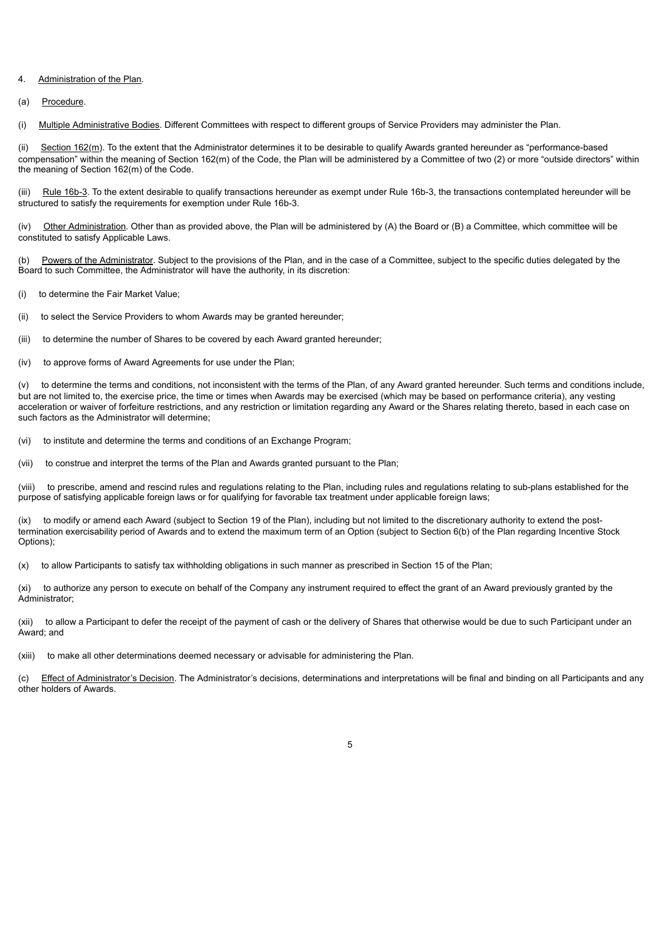#### 4. Administration of the Plan.

#### (a) Procedure.

(i) Multiple Administrative Bodies. Different Committees with respect to different groups of Service Providers may administer the Plan.

(ii) Section 162(m). To the extent that the Administrator determines it to be desirable to qualify Awards granted hereunder as "performance-based compensation" within the meaning of Section 162(m) of the Code, the Plan will be administered by a Committee of two (2) or more "outside directors" within the meaning of Section 162(m) of the Code.

(iii) Rule 16b-3. To the extent desirable to qualify transactions hereunder as exempt under Rule 16b-3, the transactions contemplated hereunder will be structured to satisfy the requirements for exemption under Rule 16b-3.

(iv) Other Administration. Other than as provided above, the Plan will be administered by (A) the Board or (B) a Committee, which committee will be constituted to satisfy Applicable Laws.

(b) Powers of the Administrator. Subject to the provisions of the Plan, and in the case of a Committee, subject to the specific duties delegated by the Board to such Committee, the Administrator will have the authority, in its discretion:

(i) to determine the Fair Market Value;

(ii) to select the Service Providers to whom Awards may be granted hereunder;

(iii) to determine the number of Shares to be covered by each Award granted hereunder;

(iv) to approve forms of Award Agreements for use under the Plan;

(v) to determine the terms and conditions, not inconsistent with the terms of the Plan, of any Award granted hereunder. Such terms and conditions include, but are not limited to, the exercise price, the time or times when Awards may be exercised (which may be based on performance criteria), any vesting acceleration or waiver of forfeiture restrictions, and any restriction or limitation regarding any Award or the Shares relating thereto, based in each case on such factors as the Administrator will determine;

(vi) to institute and determine the terms and conditions of an Exchange Program;

(vii) to construe and interpret the terms of the Plan and Awards granted pursuant to the Plan;

(viii) to prescribe, amend and rescind rules and regulations relating to the Plan, including rules and regulations relating to sub-plans established for the purpose of satisfying applicable foreign laws or for qualifying for favorable tax treatment under applicable foreign laws;

(ix) to modify or amend each Award (subject to Section 19 of the Plan), including but not limited to the discretionary authority to extend the posttermination exercisability period of Awards and to extend the maximum term of an Option (subject to Section 6(b) of the Plan regarding Incentive Stock Options);

(x) to allow Participants to satisfy tax withholding obligations in such manner as prescribed in Section 15 of the Plan;

(xi) to authorize any person to execute on behalf of the Company any instrument required to effect the grant of an Award previously granted by the Administrator;

(xii) to allow a Participant to defer the receipt of the payment of cash or the delivery of Shares that otherwise would be due to such Participant under an Award; and

(xiii) to make all other determinations deemed necessary or advisable for administering the Plan.

(c) Effect of Administrator's Decision. The Administrator's decisions, determinations and interpretations will be final and binding on all Participants and any other holders of Awards.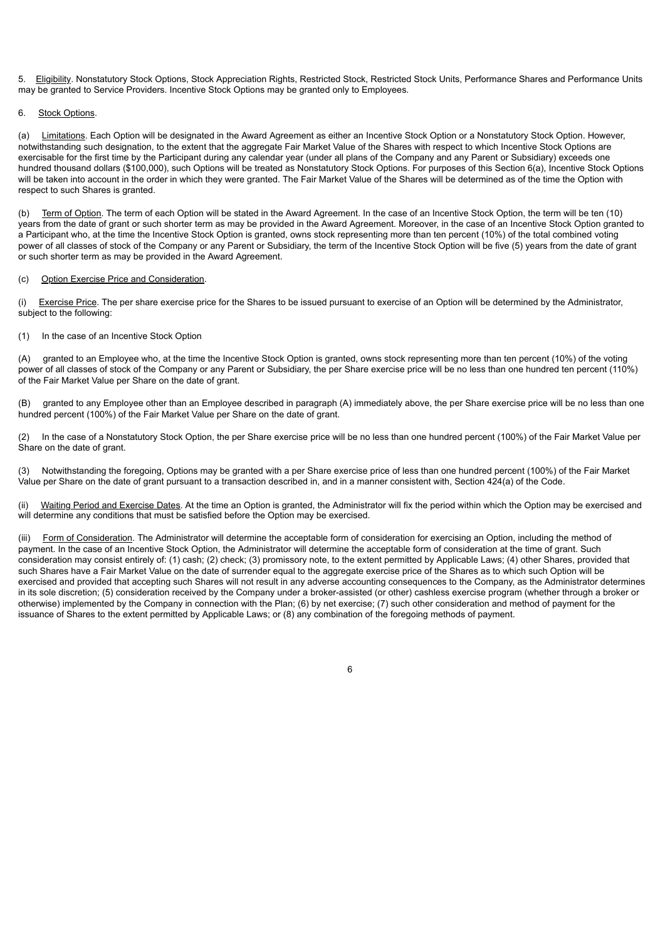5. Eligibility. Nonstatutory Stock Options, Stock Appreciation Rights, Restricted Stock, Restricted Stock Units, Performance Shares and Performance Units may be granted to Service Providers. Incentive Stock Options may be granted only to Employees.

#### 6. Stock Options.

(a) Limitations. Each Option will be designated in the Award Agreement as either an Incentive Stock Option or a Nonstatutory Stock Option. However, notwithstanding such designation, to the extent that the aggregate Fair Market Value of the Shares with respect to which Incentive Stock Options are exercisable for the first time by the Participant during any calendar year (under all plans of the Company and any Parent or Subsidiary) exceeds one hundred thousand dollars (\$100,000), such Options will be treated as Nonstatutory Stock Options. For purposes of this Section 6(a), Incentive Stock Options will be taken into account in the order in which they were granted. The Fair Market Value of the Shares will be determined as of the time the Option with respect to such Shares is granted.

(b) Term of Option. The term of each Option will be stated in the Award Agreement. In the case of an Incentive Stock Option, the term will be ten (10) years from the date of grant or such shorter term as may be provided in the Award Agreement. Moreover, in the case of an Incentive Stock Option granted to a Participant who, at the time the Incentive Stock Option is granted, owns stock representing more than ten percent (10%) of the total combined voting power of all classes of stock of the Company or any Parent or Subsidiary, the term of the Incentive Stock Option will be five (5) years from the date of grant or such shorter term as may be provided in the Award Agreement.

#### (c) Option Exercise Price and Consideration.

(i) Exercise Price. The per share exercise price for the Shares to be issued pursuant to exercise of an Option will be determined by the Administrator, subject to the following:

#### (1) In the case of an Incentive Stock Option

(A) granted to an Employee who, at the time the Incentive Stock Option is granted, owns stock representing more than ten percent (10%) of the voting power of all classes of stock of the Company or any Parent or Subsidiary, the per Share exercise price will be no less than one hundred ten percent (110%) of the Fair Market Value per Share on the date of grant.

granted to any Employee other than an Employee described in paragraph (A) immediately above, the per Share exercise price will be no less than one hundred percent (100%) of the Fair Market Value per Share on the date of grant.

(2) In the case of a Nonstatutory Stock Option, the per Share exercise price will be no less than one hundred percent (100%) of the Fair Market Value per Share on the date of grant.

(3) Notwithstanding the foregoing, Options may be granted with a per Share exercise price of less than one hundred percent (100%) of the Fair Market Value per Share on the date of grant pursuant to a transaction described in, and in a manner consistent with, Section 424(a) of the Code.

(ii) Waiting Period and Exercise Dates. At the time an Option is granted, the Administrator will fix the period within which the Option may be exercised and will determine any conditions that must be satisfied before the Option may be exercised.

(iii) Form of Consideration. The Administrator will determine the acceptable form of consideration for exercising an Option, including the method of payment. In the case of an Incentive Stock Option, the Administrator will determine the acceptable form of consideration at the time of grant. Such consideration may consist entirely of: (1) cash; (2) check; (3) promissory note, to the extent permitted by Applicable Laws; (4) other Shares, provided that such Shares have a Fair Market Value on the date of surrender equal to the aggregate exercise price of the Shares as to which such Option will be exercised and provided that accepting such Shares will not result in any adverse accounting consequences to the Company, as the Administrator determines in its sole discretion; (5) consideration received by the Company under a broker-assisted (or other) cashless exercise program (whether through a broker or otherwise) implemented by the Company in connection with the Plan; (6) by net exercise; (7) such other consideration and method of payment for the issuance of Shares to the extent permitted by Applicable Laws; or (8) any combination of the foregoing methods of payment.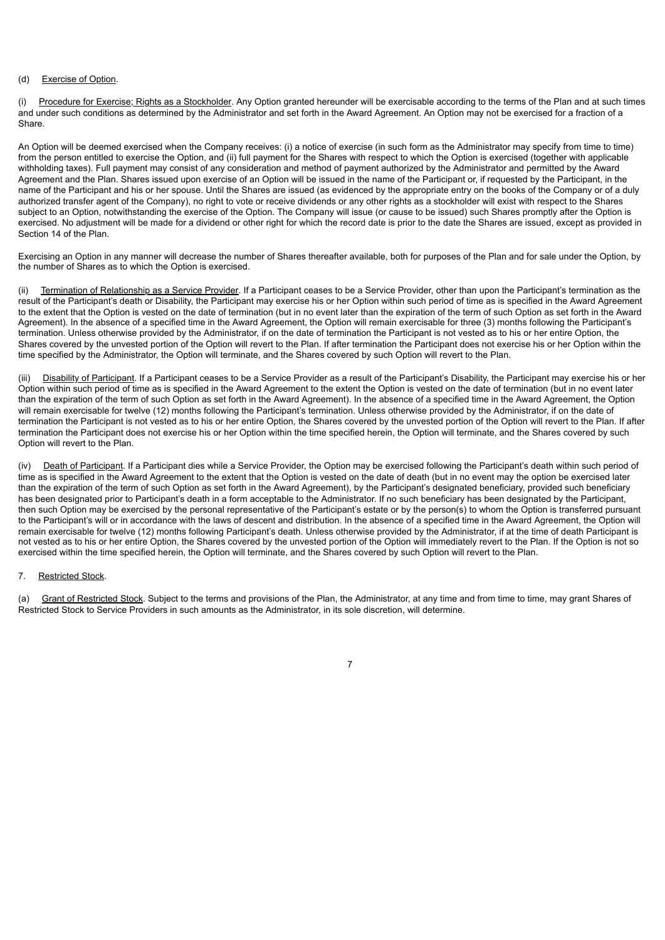#### (d) Exercise of Option.

(i) Procedure for Exercise; Rights as a Stockholder. Any Option granted hereunder will be exercisable according to the terms of the Plan and at such times and under such conditions as determined by the Administrator and set forth in the Award Agreement. An Option may not be exercised for a fraction of a Share.

An Option will be deemed exercised when the Company receives: (i) a notice of exercise (in such form as the Administrator may specify from time to time) from the person entitled to exercise the Option, and (ii) full payment for the Shares with respect to which the Option is exercised (together with applicable withholding taxes). Full payment may consist of any consideration and method of payment authorized by the Administrator and permitted by the Award Agreement and the Plan. Shares issued upon exercise of an Option will be issued in the name of the Participant or, if requested by the Participant, in the name of the Participant and his or her spouse. Until the Shares are issued (as evidenced by the appropriate entry on the books of the Company or of a duly authorized transfer agent of the Company), no right to vote or receive dividends or any other rights as a stockholder will exist with respect to the Shares subject to an Option, notwithstanding the exercise of the Option. The Company will issue (or cause to be issued) such Shares promptly after the Option is exercised. No adjustment will be made for a dividend or other right for which the record date is prior to the date the Shares are issued, except as provided in Section 14 of the Plan.

Exercising an Option in any manner will decrease the number of Shares thereafter available, both for purposes of the Plan and for sale under the Option, by the number of Shares as to which the Option is exercised.

(ii) Termination of Relationship as a Service Provider. If a Participant ceases to be a Service Provider, other than upon the Participant's termination as the result of the Participant's death or Disability, the Participant may exercise his or her Option within such period of time as is specified in the Award Agreement to the extent that the Option is vested on the date of termination (but in no event later than the expiration of the term of such Option as set forth in the Award Agreement). In the absence of a specified time in the Award Agreement, the Option will remain exercisable for three (3) months following the Participant's termination. Unless otherwise provided by the Administrator, if on the date of termination the Participant is not vested as to his or her entire Option, the Shares covered by the unvested portion of the Option will revert to the Plan. If after termination the Participant does not exercise his or her Option within the time specified by the Administrator, the Option will terminate, and the Shares covered by such Option will revert to the Plan.

(iii) Disability of Participant. If a Participant ceases to be a Service Provider as a result of the Participant's Disability, the Participant may exercise his or her Option within such period of time as is specified in the Award Agreement to the extent the Option is vested on the date of termination (but in no event later than the expiration of the term of such Option as set forth in the Award Agreement). In the absence of a specified time in the Award Agreement, the Option will remain exercisable for twelve (12) months following the Participant's termination. Unless otherwise provided by the Administrator, if on the date of termination the Participant is not vested as to his or her entire Option, the Shares covered by the unvested portion of the Option will revert to the Plan. If after termination the Participant does not exercise his or her Option within the time specified herein, the Option will terminate, and the Shares covered by such Option will revert to the Plan.

(iv) Death of Participant. If a Participant dies while a Service Provider, the Option may be exercised following the Participant's death within such period of time as is specified in the Award Agreement to the extent that the Option is vested on the date of death (but in no event may the option be exercised later than the expiration of the term of such Option as set forth in the Award Agreement), by the Participant's designated beneficiary, provided such beneficiary has been designated prior to Participant's death in a form acceptable to the Administrator. If no such beneficiary has been designated by the Participant, then such Option may be exercised by the personal representative of the Participant's estate or by the person(s) to whom the Option is transferred pursuant to the Participant's will or in accordance with the laws of descent and distribution. In the absence of a specified time in the Award Agreement, the Option will remain exercisable for twelve (12) months following Participant's death. Unless otherwise provided by the Administrator, if at the time of death Participant is not vested as to his or her entire Option, the Shares covered by the unvested portion of the Option will immediately revert to the Plan. If the Option is not so exercised within the time specified herein, the Option will terminate, and the Shares covered by such Option will revert to the Plan.

#### 7. Restricted Stock.

(a) Grant of Restricted Stock. Subject to the terms and provisions of the Plan, the Administrator, at any time and from time to time, may grant Shares of Restricted Stock to Service Providers in such amounts as the Administrator, in its sole discretion, will determine.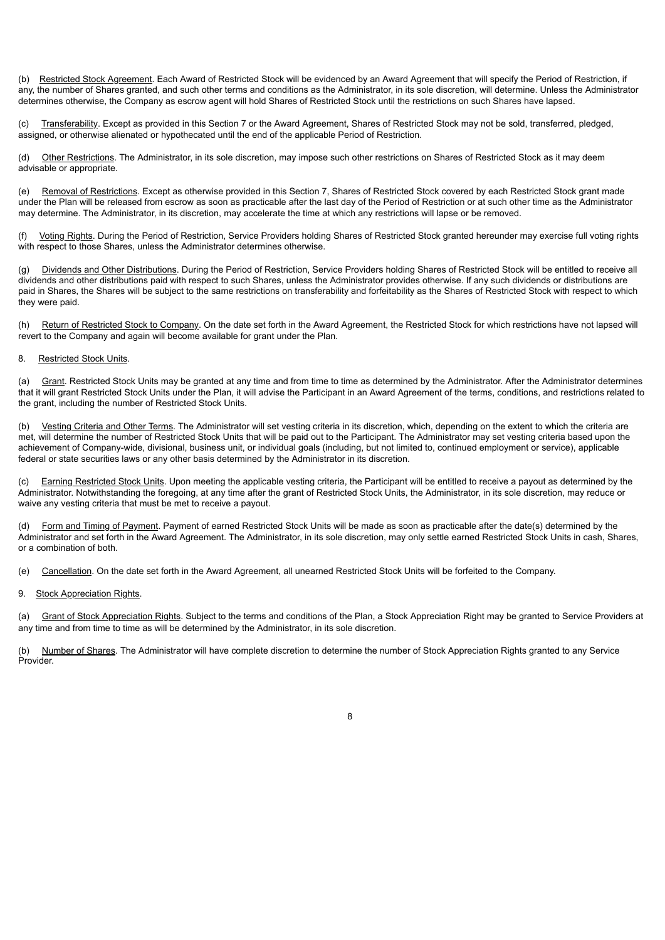(b) Restricted Stock Agreement. Each Award of Restricted Stock will be evidenced by an Award Agreement that will specify the Period of Restriction, if any, the number of Shares granted, and such other terms and conditions as the Administrator, in its sole discretion, will determine. Unless the Administrator determines otherwise, the Company as escrow agent will hold Shares of Restricted Stock until the restrictions on such Shares have lapsed.

(c) Transferability. Except as provided in this Section 7 or the Award Agreement, Shares of Restricted Stock may not be sold, transferred, pledged, assigned, or otherwise alienated or hypothecated until the end of the applicable Period of Restriction.

(d) Other Restrictions. The Administrator, in its sole discretion, may impose such other restrictions on Shares of Restricted Stock as it may deem advisable or appropriate.

(e) Removal of Restrictions. Except as otherwise provided in this Section 7, Shares of Restricted Stock covered by each Restricted Stock grant made under the Plan will be released from escrow as soon as practicable after the last day of the Period of Restriction or at such other time as the Administrator may determine. The Administrator, in its discretion, may accelerate the time at which any restrictions will lapse or be removed.

(f) Voting Rights. During the Period of Restriction, Service Providers holding Shares of Restricted Stock granted hereunder may exercise full voting rights with respect to those Shares, unless the Administrator determines otherwise.

(g) Dividends and Other Distributions. During the Period of Restriction, Service Providers holding Shares of Restricted Stock will be entitled to receive all dividends and other distributions paid with respect to such Shares, unless the Administrator provides otherwise. If any such dividends or distributions are paid in Shares, the Shares will be subject to the same restrictions on transferability and forfeitability as the Shares of Restricted Stock with respect to which they were paid.

(h) Return of Restricted Stock to Company. On the date set forth in the Award Agreement, the Restricted Stock for which restrictions have not lapsed will revert to the Company and again will become available for grant under the Plan.

#### 8. Restricted Stock Units.

(a) Grant. Restricted Stock Units may be granted at any time and from time to time as determined by the Administrator. After the Administrator determines that it will grant Restricted Stock Units under the Plan, it will advise the Participant in an Award Agreement of the terms, conditions, and restrictions related to the grant, including the number of Restricted Stock Units.

(b) Vesting Criteria and Other Terms. The Administrator will set vesting criteria in its discretion, which, depending on the extent to which the criteria are met, will determine the number of Restricted Stock Units that will be paid out to the Participant. The Administrator may set vesting criteria based upon the achievement of Company-wide, divisional, business unit, or individual goals (including, but not limited to, continued employment or service), applicable federal or state securities laws or any other basis determined by the Administrator in its discretion.

(c) Earning Restricted Stock Units. Upon meeting the applicable vesting criteria, the Participant will be entitled to receive a payout as determined by the Administrator. Notwithstanding the foregoing, at any time after the grant of Restricted Stock Units, the Administrator, in its sole discretion, may reduce or waive any vesting criteria that must be met to receive a payout.

Form and Timing of Payment. Payment of earned Restricted Stock Units will be made as soon as practicable after the date(s) determined by the Administrator and set forth in the Award Agreement. The Administrator, in its sole discretion, may only settle earned Restricted Stock Units in cash, Shares, or a combination of both.

(e) Cancellation. On the date set forth in the Award Agreement, all unearned Restricted Stock Units will be forfeited to the Company.

#### 9. Stock Appreciation Rights.

(a) Grant of Stock Appreciation Rights. Subject to the terms and conditions of the Plan, a Stock Appreciation Right may be granted to Service Providers at any time and from time to time as will be determined by the Administrator, in its sole discretion.

(b) Number of Shares. The Administrator will have complete discretion to determine the number of Stock Appreciation Rights granted to any Service Provider.

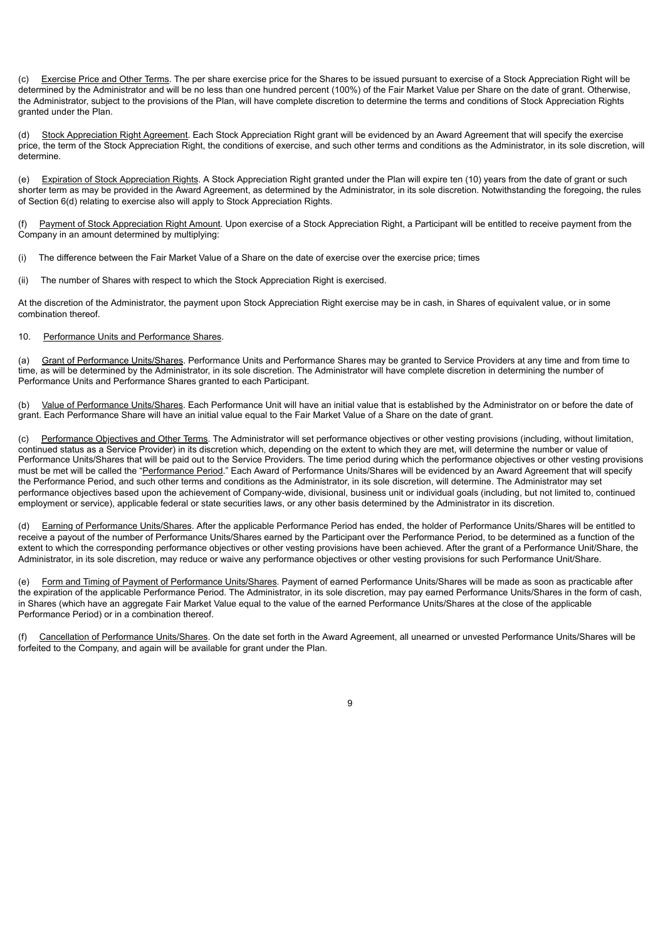(c) Exercise Price and Other Terms. The per share exercise price for the Shares to be issued pursuant to exercise of a Stock Appreciation Right will be determined by the Administrator and will be no less than one hundred percent (100%) of the Fair Market Value per Share on the date of grant. Otherwise, the Administrator, subject to the provisions of the Plan, will have complete discretion to determine the terms and conditions of Stock Appreciation Rights granted under the Plan.

(d) Stock Appreciation Right Agreement. Each Stock Appreciation Right grant will be evidenced by an Award Agreement that will specify the exercise price, the term of the Stock Appreciation Right, the conditions of exercise, and such other terms and conditions as the Administrator, in its sole discretion, will determine.

(e) Expiration of Stock Appreciation Rights. A Stock Appreciation Right granted under the Plan will expire ten (10) years from the date of grant or such shorter term as may be provided in the Award Agreement, as determined by the Administrator, in its sole discretion. Notwithstanding the foregoing, the rules of Section 6(d) relating to exercise also will apply to Stock Appreciation Rights.

(f) Payment of Stock Appreciation Right Amount. Upon exercise of a Stock Appreciation Right, a Participant will be entitled to receive payment from the Company in an amount determined by multiplying:

(i) The difference between the Fair Market Value of a Share on the date of exercise over the exercise price; times

(ii) The number of Shares with respect to which the Stock Appreciation Right is exercised.

At the discretion of the Administrator, the payment upon Stock Appreciation Right exercise may be in cash, in Shares of equivalent value, or in some combination thereof.

#### 10. Performance Units and Performance Shares.

(a) Grant of Performance Units/Shares. Performance Units and Performance Shares may be granted to Service Providers at any time and from time to time, as will be determined by the Administrator, in its sole discretion. The Administrator will have complete discretion in determining the number of Performance Units and Performance Shares granted to each Participant.

(b) Value of Performance Units/Shares. Each Performance Unit will have an initial value that is established by the Administrator on or before the date of grant. Each Performance Share will have an initial value equal to the Fair Market Value of a Share on the date of grant.

(c) Performance Objectives and Other Terms. The Administrator will set performance objectives or other vesting provisions (including, without limitation, continued status as a Service Provider) in its discretion which, depending on the extent to which they are met, will determine the number or value of Performance Units/Shares that will be paid out to the Service Providers. The time period during which the performance objectives or other vesting provisions must be met will be called the "Performance Period." Each Award of Performance Units/Shares will be evidenced by an Award Agreement that will specify the Performance Period, and such other terms and conditions as the Administrator, in its sole discretion, will determine. The Administrator may set performance objectives based upon the achievement of Company-wide, divisional, business unit or individual goals (including, but not limited to, continued employment or service), applicable federal or state securities laws, or any other basis determined by the Administrator in its discretion.

(d) Earning of Performance Units/Shares. After the applicable Performance Period has ended, the holder of Performance Units/Shares will be entitled to receive a payout of the number of Performance Units/Shares earned by the Participant over the Performance Period, to be determined as a function of the extent to which the corresponding performance objectives or other vesting provisions have been achieved. After the grant of a Performance Unit/Share, the Administrator, in its sole discretion, may reduce or waive any performance objectives or other vesting provisions for such Performance Unit/Share.

(e) Form and Timing of Payment of Performance Units/Shares. Payment of earned Performance Units/Shares will be made as soon as practicable after the expiration of the applicable Performance Period. The Administrator, in its sole discretion, may pay earned Performance Units/Shares in the form of cash, in Shares (which have an aggregate Fair Market Value equal to the value of the earned Performance Units/Shares at the close of the applicable Performance Period) or in a combination thereof.

(f) Cancellation of Performance Units/Shares. On the date set forth in the Award Agreement, all unearned or unvested Performance Units/Shares will be forfeited to the Company, and again will be available for grant under the Plan.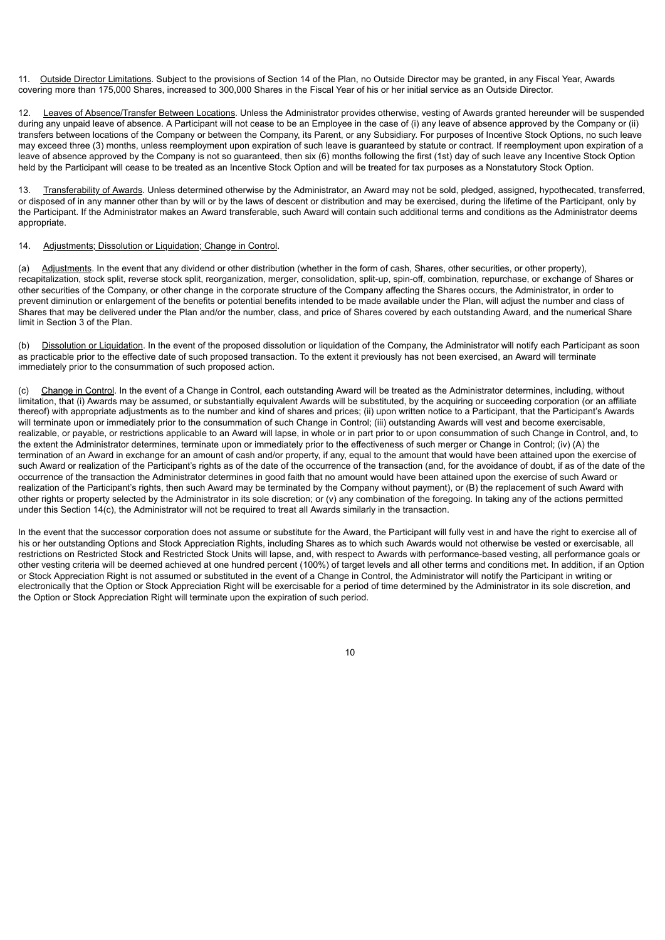11. Outside Director Limitations. Subject to the provisions of Section 14 of the Plan, no Outside Director may be granted, in any Fiscal Year, Awards covering more than 175,000 Shares, increased to 300,000 Shares in the Fiscal Year of his or her initial service as an Outside Director.

12. Leaves of Absence/Transfer Between Locations. Unless the Administrator provides otherwise, vesting of Awards granted hereunder will be suspended during any unpaid leave of absence. A Participant will not cease to be an Employee in the case of (i) any leave of absence approved by the Company or (ii) transfers between locations of the Company or between the Company, its Parent, or any Subsidiary. For purposes of Incentive Stock Options, no such leave may exceed three (3) months, unless reemployment upon expiration of such leave is guaranteed by statute or contract. If reemployment upon expiration of a leave of absence approved by the Company is not so guaranteed, then six (6) months following the first (1st) day of such leave any Incentive Stock Option held by the Participant will cease to be treated as an Incentive Stock Option and will be treated for tax purposes as a Nonstatutory Stock Option.

13. Transferability of Awards. Unless determined otherwise by the Administrator, an Award may not be sold, pledged, assigned, hypothecated, transferred, or disposed of in any manner other than by will or by the laws of descent or distribution and may be exercised, during the lifetime of the Participant, only by the Participant. If the Administrator makes an Award transferable, such Award will contain such additional terms and conditions as the Administrator deems appropriate.

#### 14. Adjustments: Dissolution or Liquidation: Change in Control.

(a) Adjustments. In the event that any dividend or other distribution (whether in the form of cash, Shares, other securities, or other property), recapitalization, stock split, reverse stock split, reorganization, merger, consolidation, split-up, spin-off, combination, repurchase, or exchange of Shares or other securities of the Company, or other change in the corporate structure of the Company affecting the Shares occurs, the Administrator, in order to prevent diminution or enlargement of the benefits or potential benefits intended to be made available under the Plan, will adjust the number and class of Shares that may be delivered under the Plan and/or the number, class, and price of Shares covered by each outstanding Award, and the numerical Share limit in Section 3 of the Plan.

(b) Dissolution or Liquidation. In the event of the proposed dissolution or liquidation of the Company, the Administrator will notify each Participant as soon as practicable prior to the effective date of such proposed transaction. To the extent it previously has not been exercised, an Award will terminate immediately prior to the consummation of such proposed action.

(c) Change in Control. In the event of a Change in Control, each outstanding Award will be treated as the Administrator determines, including, without limitation, that (i) Awards may be assumed, or substantially equivalent Awards will be substituted, by the acquiring or succeeding corporation (or an affiliate thereof) with appropriate adjustments as to the number and kind of shares and prices; (ii) upon written notice to a Participant, that the Participant's Awards will terminate upon or immediately prior to the consummation of such Change in Control; (iii) outstanding Awards will vest and become exercisable, realizable, or payable, or restrictions applicable to an Award will lapse, in whole or in part prior to or upon consummation of such Change in Control, and, to the extent the Administrator determines, terminate upon or immediately prior to the effectiveness of such merger or Change in Control; (iv) (A) the termination of an Award in exchange for an amount of cash and/or property, if any, equal to the amount that would have been attained upon the exercise of such Award or realization of the Participant's rights as of the date of the occurrence of the transaction (and, for the avoidance of doubt, if as of the date of the occurrence of the transaction the Administrator determines in good faith that no amount would have been attained upon the exercise of such Award or realization of the Participant's rights, then such Award may be terminated by the Company without payment), or (B) the replacement of such Award with other rights or property selected by the Administrator in its sole discretion; or (v) any combination of the foregoing. In taking any of the actions permitted under this Section 14(c), the Administrator will not be required to treat all Awards similarly in the transaction.

In the event that the successor corporation does not assume or substitute for the Award, the Participant will fully vest in and have the right to exercise all of his or her outstanding Options and Stock Appreciation Rights, including Shares as to which such Awards would not otherwise be vested or exercisable, all restrictions on Restricted Stock and Restricted Stock Units will lapse, and, with respect to Awards with performance-based vesting, all performance goals or other vesting criteria will be deemed achieved at one hundred percent (100%) of target levels and all other terms and conditions met. In addition, if an Option or Stock Appreciation Right is not assumed or substituted in the event of a Change in Control, the Administrator will notify the Participant in writing or electronically that the Option or Stock Appreciation Right will be exercisable for a period of time determined by the Administrator in its sole discretion, and the Option or Stock Appreciation Right will terminate upon the expiration of such period.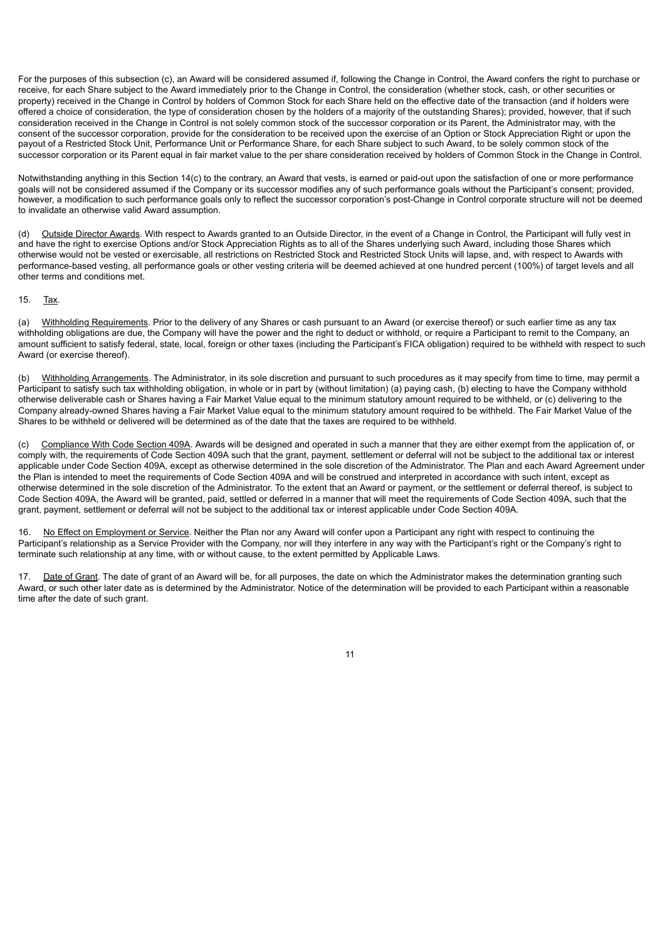For the purposes of this subsection (c), an Award will be considered assumed if, following the Change in Control, the Award confers the right to purchase or receive, for each Share subject to the Award immediately prior to the Change in Control, the consideration (whether stock, cash, or other securities or property) received in the Change in Control by holders of Common Stock for each Share held on the effective date of the transaction (and if holders were offered a choice of consideration, the type of consideration chosen by the holders of a majority of the outstanding Shares); provided, however, that if such consideration received in the Change in Control is not solely common stock of the successor corporation or its Parent, the Administrator may, with the consent of the successor corporation, provide for the consideration to be received upon the exercise of an Option or Stock Appreciation Right or upon the payout of a Restricted Stock Unit, Performance Unit or Performance Share, for each Share subject to such Award, to be solely common stock of the successor corporation or its Parent equal in fair market value to the per share consideration received by holders of Common Stock in the Change in Control.

Notwithstanding anything in this Section 14(c) to the contrary, an Award that vests, is earned or paid-out upon the satisfaction of one or more performance goals will not be considered assumed if the Company or its successor modifies any of such performance goals without the Participant's consent; provided, however, a modification to such performance goals only to reflect the successor corporation's post-Change in Control corporate structure will not be deemed to invalidate an otherwise valid Award assumption.

(d) Outside Director Awards. With respect to Awards granted to an Outside Director, in the event of a Change in Control, the Participant will fully vest in and have the right to exercise Options and/or Stock Appreciation Rights as to all of the Shares underlying such Award, including those Shares which otherwise would not be vested or exercisable, all restrictions on Restricted Stock and Restricted Stock Units will lapse, and, with respect to Awards with performance-based vesting, all performance goals or other vesting criteria will be deemed achieved at one hundred percent (100%) of target levels and all other terms and conditions met.

#### 15. Tax.

(a) Withholding Requirements. Prior to the delivery of any Shares or cash pursuant to an Award (or exercise thereof) or such earlier time as any tax withholding obligations are due, the Company will have the power and the right to deduct or withhold, or require a Participant to remit to the Company, an amount sufficient to satisfy federal, state, local, foreign or other taxes (including the Participant's FICA obligation) required to be withheld with respect to such Award (or exercise thereof).

(b) Withholding Arrangements. The Administrator, in its sole discretion and pursuant to such procedures as it may specify from time to time, may permit a Participant to satisfy such tax withholding obligation, in whole or in part by (without limitation) (a) paying cash, (b) electing to have the Company withhold otherwise deliverable cash or Shares having a Fair Market Value equal to the minimum statutory amount required to be withheld, or (c) delivering to the Company already-owned Shares having a Fair Market Value equal to the minimum statutory amount required to be withheld. The Fair Market Value of the Shares to be withheld or delivered will be determined as of the date that the taxes are required to be withheld.

(c) Compliance With Code Section 409A. Awards will be designed and operated in such a manner that they are either exempt from the application of, or comply with, the requirements of Code Section 409A such that the grant, payment, settlement or deferral will not be subject to the additional tax or interest applicable under Code Section 409A, except as otherwise determined in the sole discretion of the Administrator. The Plan and each Award Agreement under the Plan is intended to meet the requirements of Code Section 409A and will be construed and interpreted in accordance with such intent, except as otherwise determined in the sole discretion of the Administrator. To the extent that an Award or payment, or the settlement or deferral thereof, is subject to Code Section 409A, the Award will be granted, paid, settled or deferred in a manner that will meet the requirements of Code Section 409A, such that the grant, payment, settlement or deferral will not be subject to the additional tax or interest applicable under Code Section 409A.

16. No Effect on Employment or Service. Neither the Plan nor any Award will confer upon a Participant any right with respect to continuing the Participant's relationship as a Service Provider with the Company, nor will they interfere in any way with the Participant's right or the Company's right to terminate such relationship at any time, with or without cause, to the extent permitted by Applicable Laws.

Date of Grant. The date of grant of an Award will be, for all purposes, the date on which the Administrator makes the determination granting such Award, or such other later date as is determined by the Administrator. Notice of the determination will be provided to each Participant within a reasonable time after the date of such grant.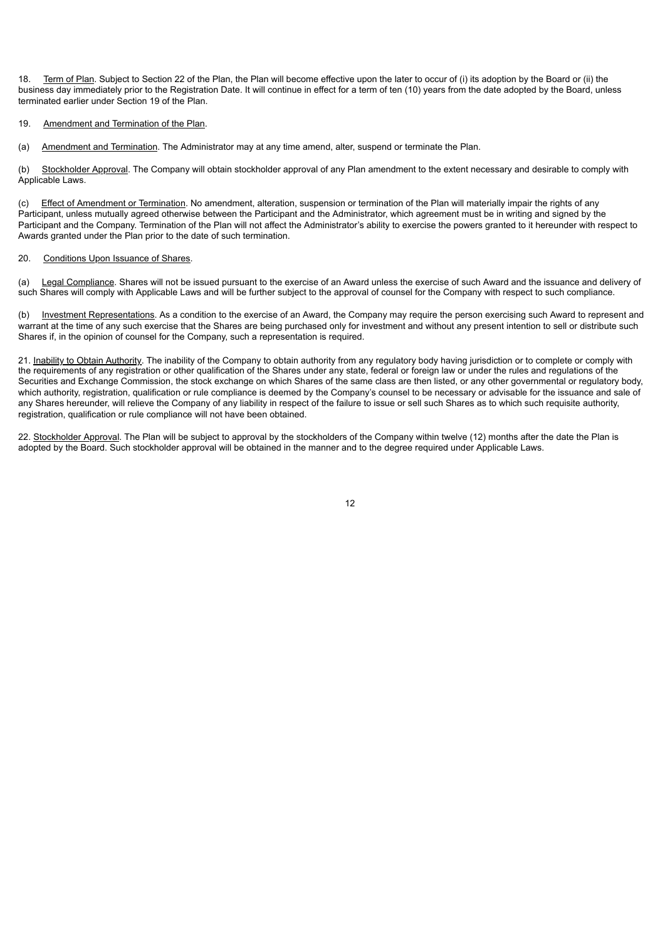18. Term of Plan. Subject to Section 22 of the Plan, the Plan will become effective upon the later to occur of (i) its adoption by the Board or (ii) the business day immediately prior to the Registration Date. It will continue in effect for a term of ten (10) years from the date adopted by the Board, unless terminated earlier under Section 19 of the Plan.

#### 19. Amendment and Termination of the Plan.

(a) Amendment and Termination. The Administrator may at any time amend, alter, suspend or terminate the Plan.

(b) Stockholder Approval. The Company will obtain stockholder approval of any Plan amendment to the extent necessary and desirable to comply with Applicable Laws.

(c) Effect of Amendment or Termination. No amendment, alteration, suspension or termination of the Plan will materially impair the rights of any Participant, unless mutually agreed otherwise between the Participant and the Administrator, which agreement must be in writing and signed by the Participant and the Company. Termination of the Plan will not affect the Administrator's ability to exercise the powers granted to it hereunder with respect to Awards granted under the Plan prior to the date of such termination.

#### 20. Conditions Upon Issuance of Shares.

(a) Legal Compliance. Shares will not be issued pursuant to the exercise of an Award unless the exercise of such Award and the issuance and delivery of such Shares will comply with Applicable Laws and will be further subject to the approval of counsel for the Company with respect to such compliance.

(b) Investment Representations. As a condition to the exercise of an Award, the Company may require the person exercising such Award to represent and warrant at the time of any such exercise that the Shares are being purchased only for investment and without any present intention to sell or distribute such Shares if, in the opinion of counsel for the Company, such a representation is required.

21. Inability to Obtain Authority. The inability of the Company to obtain authority from any regulatory body having jurisdiction or to complete or comply with the requirements of any registration or other qualification of the Shares under any state, federal or foreign law or under the rules and regulations of the Securities and Exchange Commission, the stock exchange on which Shares of the same class are then listed, or any other governmental or regulatory body, which authority, registration, qualification or rule compliance is deemed by the Company's counsel to be necessary or advisable for the issuance and sale of any Shares hereunder, will relieve the Company of any liability in respect of the failure to issue or sell such Shares as to which such requisite authority, registration, qualification or rule compliance will not have been obtained.

22. Stockholder Approval. The Plan will be subject to approval by the stockholders of the Company within twelve (12) months after the date the Plan is adopted by the Board. Such stockholder approval will be obtained in the manner and to the degree required under Applicable Laws.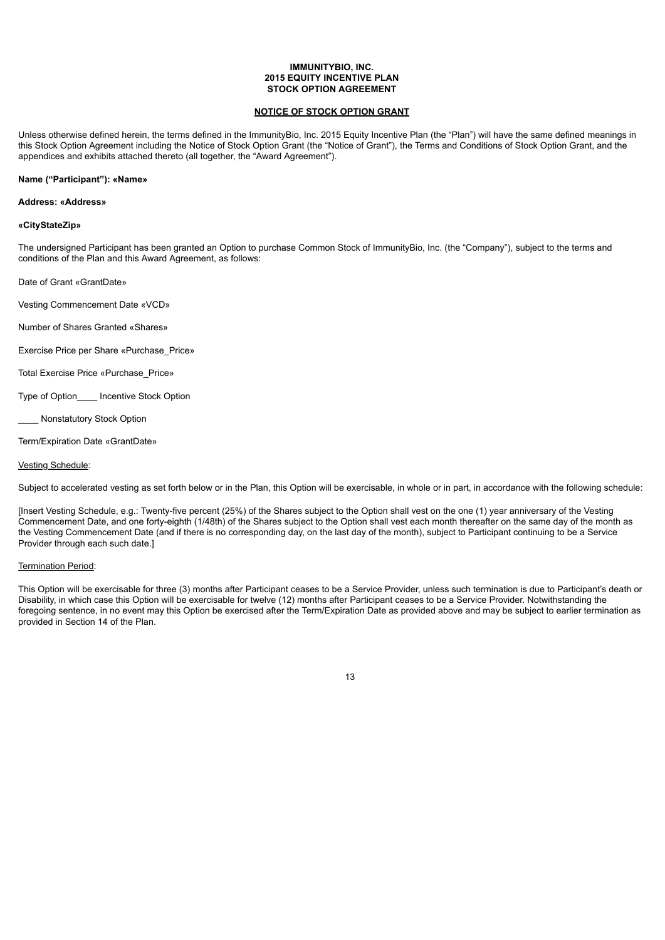#### **IMMUNITYBIO, INC. 2015 EQUITY INCENTIVE PLAN STOCK OPTION AGREEMENT**

#### **NOTICE OF STOCK OPTION GRANT**

Unless otherwise defined herein, the terms defined in the ImmunityBio, Inc. 2015 Equity Incentive Plan (the "Plan") will have the same defined meanings in this Stock Option Agreement including the Notice of Stock Option Grant (the "Notice of Grant"), the Terms and Conditions of Stock Option Grant, and the appendices and exhibits attached thereto (all together, the "Award Agreement").

#### **Name ("Participant"): «Name»**

#### **Address: «Address»**

#### **«CityStateZip»**

The undersigned Participant has been granted an Option to purchase Common Stock of ImmunityBio, Inc. (the "Company"), subject to the terms and conditions of the Plan and this Award Agreement, as follows:

Date of Grant «GrantDate»

Vesting Commencement Date «VCD»

Number of Shares Granted «Shares»

Exercise Price per Share «Purchase\_Price»

Total Exercise Price «Purchase\_Price»

Type of Option\_\_\_\_ Incentive Stock Option

\_\_\_\_ Nonstatutory Stock Option

Term/Expiration Date «GrantDate»

#### Vesting Schedule:

Subject to accelerated vesting as set forth below or in the Plan, this Option will be exercisable, in whole or in part, in accordance with the following schedule:

[Insert Vesting Schedule, e.g.: Twenty-five percent (25%) of the Shares subject to the Option shall vest on the one (1) year anniversary of the Vesting Commencement Date, and one forty-eighth (1/48th) of the Shares subject to the Option shall vest each month thereafter on the same day of the month as the Vesting Commencement Date (and if there is no corresponding day, on the last day of the month), subject to Participant continuing to be a Service Provider through each such date.]

#### Termination Period:

This Option will be exercisable for three (3) months after Participant ceases to be a Service Provider, unless such termination is due to Participant's death or Disability, in which case this Option will be exercisable for twelve (12) months after Participant ceases to be a Service Provider. Notwithstanding the foregoing sentence, in no event may this Option be exercised after the Term/Expiration Date as provided above and may be subject to earlier termination as provided in Section 14 of the Plan.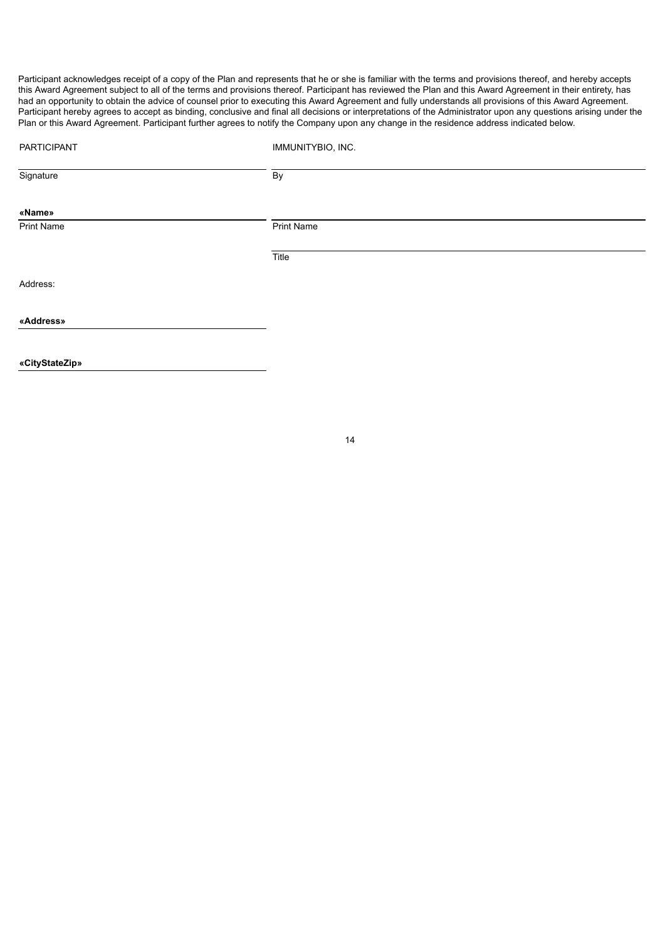Participant acknowledges receipt of a copy of the Plan and represents that he or she is familiar with the terms and provisions thereof, and hereby accepts this Award Agreement subject to all of the terms and provisions thereof. Participant has reviewed the Plan and this Award Agreement in their entirety, has had an opportunity to obtain the advice of counsel prior to executing this Award Agreement and fully understands all provisions of this Award Agreement. Participant hereby agrees to accept as binding, conclusive and final all decisions or interpretations of the Administrator upon any questions arising under the Plan or this Award Agreement. Participant further agrees to notify the Company upon any change in the residence address indicated below.

| <b>PARTICIPANT</b> | IMMUNITYBIO, INC. |
|--------------------|-------------------|
| Signature          | By                |
| «Name»             |                   |
| Print Name         | Print Name        |
|                    | Title             |
| Address:           |                   |
| «Address»          |                   |
|                    |                   |
| «CityStateZip»     |                   |
|                    |                   |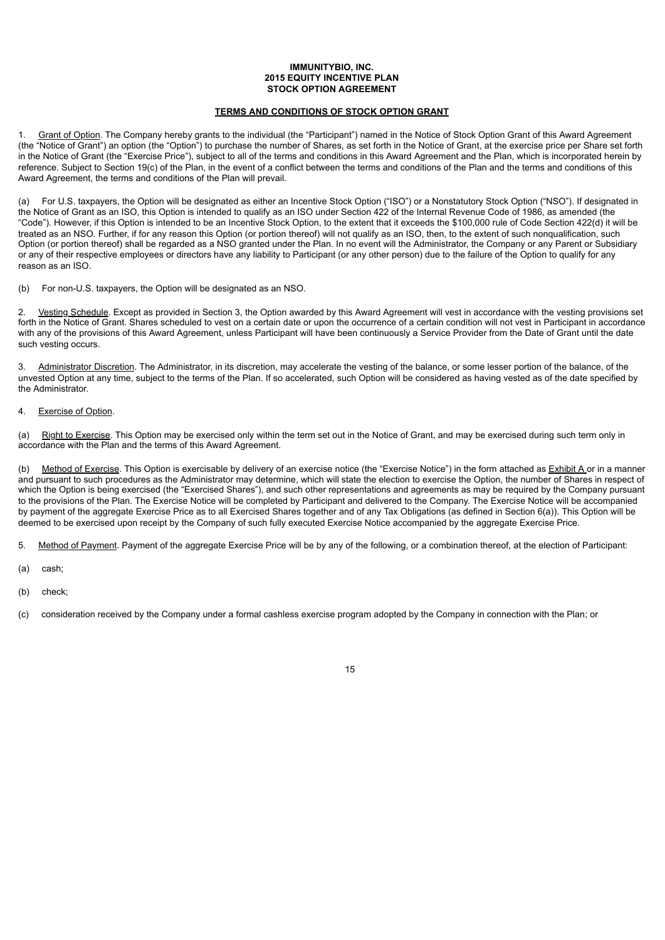#### **IMMUNITYBIO, INC. 2015 EQUITY INCENTIVE PLAN STOCK OPTION AGREEMENT**

#### **TERMS AND CONDITIONS OF STOCK OPTION GRANT**

1. Grant of Option. The Company hereby grants to the individual (the "Participant") named in the Notice of Stock Option Grant of this Award Agreement (the "Notice of Grant") an option (the "Option") to purchase the number of Shares, as set forth in the Notice of Grant, at the exercise price per Share set forth in the Notice of Grant (the "Exercise Price"), subject to all of the terms and conditions in this Award Agreement and the Plan, which is incorporated herein by reference. Subject to Section 19(c) of the Plan, in the event of a conflict between the terms and conditions of the Plan and the terms and conditions of this Award Agreement, the terms and conditions of the Plan will prevail.

(a) For U.S. taxpayers, the Option will be designated as either an Incentive Stock Option ("ISO") or a Nonstatutory Stock Option ("NSO"). If designated in the Notice of Grant as an ISO, this Option is intended to qualify as an ISO under Section 422 of the Internal Revenue Code of 1986, as amended (the "Code"). However, if this Option is intended to be an Incentive Stock Option, to the extent that it exceeds the \$100,000 rule of Code Section 422(d) it will be treated as an NSO. Further, if for any reason this Option (or portion thereof) will not qualify as an ISO, then, to the extent of such nonqualification, such Option (or portion thereof) shall be regarded as a NSO granted under the Plan. In no event will the Administrator, the Company or any Parent or Subsidiary or any of their respective employees or directors have any liability to Participant (or any other person) due to the failure of the Option to qualify for any reason as an ISO.

(b) For non-U.S. taxpayers, the Option will be designated as an NSO.

2. Vesting Schedule. Except as provided in Section 3, the Option awarded by this Award Agreement will vest in accordance with the vesting provisions set forth in the Notice of Grant. Shares scheduled to vest on a certain date or upon the occurrence of a certain condition will not vest in Participant in accordance with any of the provisions of this Award Agreement, unless Participant will have been continuously a Service Provider from the Date of Grant until the date such vesting occurs.

3. Administrator Discretion. The Administrator, in its discretion, may accelerate the vesting of the balance, or some lesser portion of the balance, of the unvested Option at any time, subject to the terms of the Plan. If so accelerated, such Option will be considered as having vested as of the date specified by the Administrator.

#### 4. Exercise of Option.

(a) Right to Exercise. This Option may be exercised only within the term set out in the Notice of Grant, and may be exercised during such term only in accordance with the Plan and the terms of this Award Agreement.

(b) Method of Exercise. This Option is exercisable by delivery of an exercise notice (the "Exercise Notice") in the form attached as Exhibit A or in a manner and pursuant to such procedures as the Administrator may determine, which will state the election to exercise the Option, the number of Shares in respect of which the Option is being exercised (the "Exercised Shares"), and such other representations and agreements as may be required by the Company pursuant to the provisions of the Plan. The Exercise Notice will be completed by Participant and delivered to the Company. The Exercise Notice will be accompanied by payment of the aggregate Exercise Price as to all Exercised Shares together and of any Tax Obligations (as defined in Section 6(a)). This Option will be deemed to be exercised upon receipt by the Company of such fully executed Exercise Notice accompanied by the aggregate Exercise Price.

5. Method of Payment. Payment of the aggregate Exercise Price will be by any of the following, or a combination thereof, at the election of Participant:

- (a) cash;
- (b) check;

(c) consideration received by the Company under a formal cashless exercise program adopted by the Company in connection with the Plan; or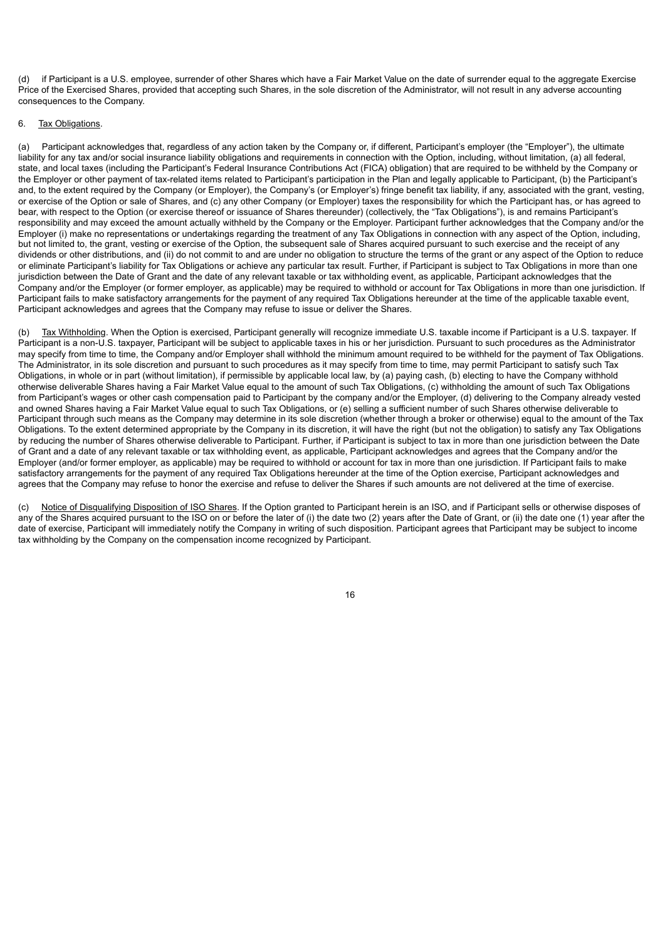(d) if Participant is a U.S. employee, surrender of other Shares which have a Fair Market Value on the date of surrender equal to the aggregate Exercise Price of the Exercised Shares, provided that accepting such Shares, in the sole discretion of the Administrator, will not result in any adverse accounting consequences to the Company.

#### 6. Tax Obligations.

(a) Participant acknowledges that, regardless of any action taken by the Company or, if different, Participant's employer (the "Employer"), the ultimate liability for any tax and/or social insurance liability obligations and requirements in connection with the Option, including, without limitation, (a) all federal, state, and local taxes (including the Participant's Federal Insurance Contributions Act (FICA) obligation) that are required to be withheld by the Company or the Employer or other payment of tax-related items related to Participant's participation in the Plan and legally applicable to Participant, (b) the Participant's and, to the extent required by the Company (or Employer), the Company's (or Employer's) fringe benefit tax liability, if any, associated with the grant, vesting, or exercise of the Option or sale of Shares, and (c) any other Company (or Employer) taxes the responsibility for which the Participant has, or has agreed to bear, with respect to the Option (or exercise thereof or issuance of Shares thereunder) (collectively, the "Tax Obligations"), is and remains Participant's responsibility and may exceed the amount actually withheld by the Company or the Employer. Participant further acknowledges that the Company and/or the Employer (i) make no representations or undertakings regarding the treatment of any Tax Obligations in connection with any aspect of the Option, including, but not limited to, the grant, vesting or exercise of the Option, the subsequent sale of Shares acquired pursuant to such exercise and the receipt of any dividends or other distributions, and (ii) do not commit to and are under no obligation to structure the terms of the grant or any aspect of the Option to reduce or eliminate Participant's liability for Tax Obligations or achieve any particular tax result. Further, if Participant is subject to Tax Obligations in more than one jurisdiction between the Date of Grant and the date of any relevant taxable or tax withholding event, as applicable, Participant acknowledges that the Company and/or the Employer (or former employer, as applicable) may be required to withhold or account for Tax Obligations in more than one jurisdiction. If Participant fails to make satisfactory arrangements for the payment of any required Tax Obligations hereunder at the time of the applicable taxable event, Participant acknowledges and agrees that the Company may refuse to issue or deliver the Shares.

(b) Tax Withholding. When the Option is exercised, Participant generally will recognize immediate U.S. taxable income if Participant is a U.S. taxpayer. If Participant is a non-U.S. taxpayer, Participant will be subject to applicable taxes in his or her jurisdiction. Pursuant to such procedures as the Administrator may specify from time to time, the Company and/or Employer shall withhold the minimum amount required to be withheld for the payment of Tax Obligations. The Administrator, in its sole discretion and pursuant to such procedures as it may specify from time to time, may permit Participant to satisfy such Tax Obligations, in whole or in part (without limitation), if permissible by applicable local law, by (a) paying cash, (b) electing to have the Company withhold otherwise deliverable Shares having a Fair Market Value equal to the amount of such Tax Obligations, (c) withholding the amount of such Tax Obligations from Participant's wages or other cash compensation paid to Participant by the company and/or the Employer, (d) delivering to the Company already vested and owned Shares having a Fair Market Value equal to such Tax Obligations, or (e) selling a sufficient number of such Shares otherwise deliverable to Participant through such means as the Company may determine in its sole discretion (whether through a broker or otherwise) equal to the amount of the Tax Obligations. To the extent determined appropriate by the Company in its discretion, it will have the right (but not the obligation) to satisfy any Tax Obligations by reducing the number of Shares otherwise deliverable to Participant. Further, if Participant is subject to tax in more than one jurisdiction between the Date of Grant and a date of any relevant taxable or tax withholding event, as applicable, Participant acknowledges and agrees that the Company and/or the Employer (and/or former employer, as applicable) may be required to withhold or account for tax in more than one jurisdiction. If Participant fails to make satisfactory arrangements for the payment of any required Tax Obligations hereunder at the time of the Option exercise, Participant acknowledges and agrees that the Company may refuse to honor the exercise and refuse to deliver the Shares if such amounts are not delivered at the time of exercise.

(c) Notice of Disqualifying Disposition of ISO Shares. If the Option granted to Participant herein is an ISO, and if Participant sells or otherwise disposes of any of the Shares acquired pursuant to the ISO on or before the later of (i) the date two (2) years after the Date of Grant, or (ii) the date one (1) year after the date of exercise, Participant will immediately notify the Company in writing of such disposition. Participant agrees that Participant may be subject to income tax withholding by the Company on the compensation income recognized by Participant.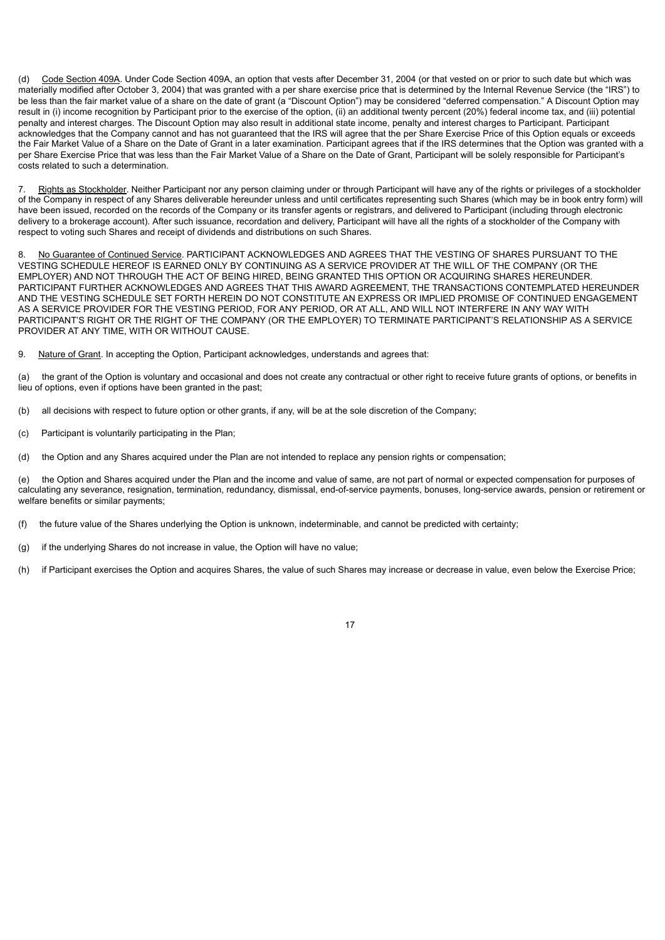(d) Code Section 409A. Under Code Section 409A, an option that vests after December 31, 2004 (or that vested on or prior to such date but which was materially modified after October 3, 2004) that was granted with a per share exercise price that is determined by the Internal Revenue Service (the "IRS") to be less than the fair market value of a share on the date of grant (a "Discount Option") may be considered "deferred compensation." A Discount Option may result in (i) income recognition by Participant prior to the exercise of the option, (ii) an additional twenty percent (20%) federal income tax, and (iii) potential penalty and interest charges. The Discount Option may also result in additional state income, penalty and interest charges to Participant. Participant acknowledges that the Company cannot and has not guaranteed that the IRS will agree that the per Share Exercise Price of this Option equals or exceeds the Fair Market Value of a Share on the Date of Grant in a later examination. Participant agrees that if the IRS determines that the Option was granted with a per Share Exercise Price that was less than the Fair Market Value of a Share on the Date of Grant, Participant will be solely responsible for Participant's costs related to such a determination.

7. Rights as Stockholder. Neither Participant nor any person claiming under or through Participant will have any of the rights or privileges of a stockholder of the Company in respect of any Shares deliverable hereunder unless and until certificates representing such Shares (which may be in book entry form) will have been issued, recorded on the records of the Company or its transfer agents or registrars, and delivered to Participant (including through electronic delivery to a brokerage account). After such issuance, recordation and delivery, Participant will have all the rights of a stockholder of the Company with respect to voting such Shares and receipt of dividends and distributions on such Shares.

8. No Guarantee of Continued Service. PARTICIPANT ACKNOWLEDGES AND AGREES THAT THE VESTING OF SHARES PURSUANT TO THE VESTING SCHEDULE HEREOF IS EARNED ONLY BY CONTINUING AS A SERVICE PROVIDER AT THE WILL OF THE COMPANY (OR THE EMPLOYER) AND NOT THROUGH THE ACT OF BEING HIRED, BEING GRANTED THIS OPTION OR ACQUIRING SHARES HEREUNDER. PARTICIPANT FURTHER ACKNOWLEDGES AND AGREES THAT THIS AWARD AGREEMENT, THE TRANSACTIONS CONTEMPLATED HEREUNDER AND THE VESTING SCHEDULE SET FORTH HEREIN DO NOT CONSTITUTE AN EXPRESS OR IMPLIED PROMISE OF CONTINUED ENGAGEMENT AS A SERVICE PROVIDER FOR THE VESTING PERIOD, FOR ANY PERIOD, OR AT ALL, AND WILL NOT INTERFERE IN ANY WAY WITH PARTICIPANT'S RIGHT OR THE RIGHT OF THE COMPANY (OR THE EMPLOYER) TO TERMINATE PARTICIPANT'S RELATIONSHIP AS A SERVICE PROVIDER AT ANY TIME, WITH OR WITHOUT CAUSE.

9. Nature of Grant. In accepting the Option, Participant acknowledges, understands and agrees that:

(a) the grant of the Option is voluntary and occasional and does not create any contractual or other right to receive future grants of options, or benefits in lieu of options, even if options have been granted in the past;

(b) all decisions with respect to future option or other grants, if any, will be at the sole discretion of the Company;

(c) Participant is voluntarily participating in the Plan;

(d) the Option and any Shares acquired under the Plan are not intended to replace any pension rights or compensation;

(e) the Option and Shares acquired under the Plan and the income and value of same, are not part of normal or expected compensation for purposes of calculating any severance, resignation, termination, redundancy, dismissal, end-of-service payments, bonuses, long-service awards, pension or retirement or welfare benefits or similar payments;

(f) the future value of the Shares underlying the Option is unknown, indeterminable, and cannot be predicted with certainty;

(g) if the underlying Shares do not increase in value, the Option will have no value;

(h) if Participant exercises the Option and acquires Shares, the value of such Shares may increase or decrease in value, even below the Exercise Price;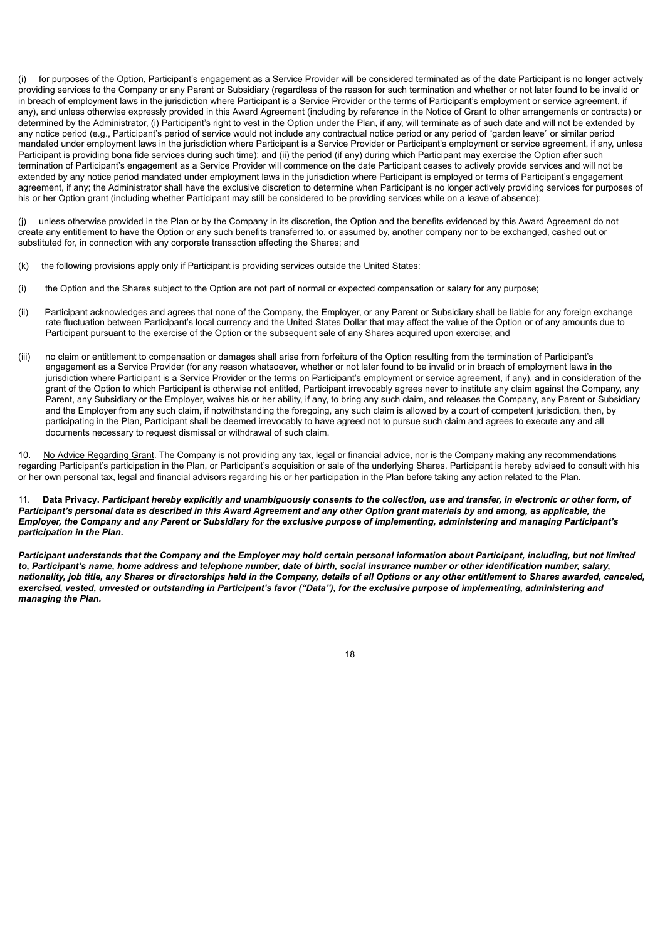for purposes of the Option, Participant's engagement as a Service Provider will be considered terminated as of the date Participant is no longer actively providing services to the Company or any Parent or Subsidiary (regardless of the reason for such termination and whether or not later found to be invalid or in breach of employment laws in the jurisdiction where Participant is a Service Provider or the terms of Participant's employment or service agreement, if any), and unless otherwise expressly provided in this Award Agreement (including by reference in the Notice of Grant to other arrangements or contracts) or determined by the Administrator, (i) Participant's right to vest in the Option under the Plan, if any, will terminate as of such date and will not be extended by any notice period (e.g., Participant's period of service would not include any contractual notice period or any period of "garden leave" or similar period mandated under employment laws in the jurisdiction where Participant is a Service Provider or Participant's employment or service agreement, if any, unless Participant is providing bona fide services during such time); and (ii) the period (if any) during which Participant may exercise the Option after such termination of Participant's engagement as a Service Provider will commence on the date Participant ceases to actively provide services and will not be extended by any notice period mandated under employment laws in the jurisdiction where Participant is employed or terms of Participant's engagement agreement, if any; the Administrator shall have the exclusive discretion to determine when Participant is no longer actively providing services for purposes of his or her Option grant (including whether Participant may still be considered to be providing services while on a leave of absence);

(j) unless otherwise provided in the Plan or by the Company in its discretion, the Option and the benefits evidenced by this Award Agreement do not create any entitlement to have the Option or any such benefits transferred to, or assumed by, another company nor to be exchanged, cashed out or substituted for, in connection with any corporate transaction affecting the Shares; and

- (k) the following provisions apply only if Participant is providing services outside the United States:
- (i) the Option and the Shares subject to the Option are not part of normal or expected compensation or salary for any purpose;
- (ii) Participant acknowledges and agrees that none of the Company, the Employer, or any Parent or Subsidiary shall be liable for any foreign exchange rate fluctuation between Participant's local currency and the United States Dollar that may affect the value of the Option or of any amounts due to Participant pursuant to the exercise of the Option or the subsequent sale of any Shares acquired upon exercise; and
- (iii) no claim or entitlement to compensation or damages shall arise from forfeiture of the Option resulting from the termination of Participant's engagement as a Service Provider (for any reason whatsoever, whether or not later found to be invalid or in breach of employment laws in the jurisdiction where Participant is a Service Provider or the terms on Participant's employment or service agreement, if any), and in consideration of the grant of the Option to which Participant is otherwise not entitled, Participant irrevocably agrees never to institute any claim against the Company, any Parent, any Subsidiary or the Employer, waives his or her ability, if any, to bring any such claim, and releases the Company, any Parent or Subsidiary and the Employer from any such claim, if notwithstanding the foregoing, any such claim is allowed by a court of competent jurisdiction, then, by participating in the Plan, Participant shall be deemed irrevocably to have agreed not to pursue such claim and agrees to execute any and all documents necessary to request dismissal or withdrawal of such claim.

10. No Advice Regarding Grant. The Company is not providing any tax, legal or financial advice, nor is the Company making any recommendations regarding Participant's participation in the Plan, or Participant's acquisition or sale of the underlying Shares. Participant is hereby advised to consult with his or her own personal tax, legal and financial advisors regarding his or her participation in the Plan before taking any action related to the Plan.

#### 11. **Data Privacy.** *Participant hereby explicitly and unambiguously consents to the collection, use and transfer, in electronic or other form, of Participant's personal data as described in this Award Agreement and any other Option grant materials by and among, as applicable, the Employer, the Company and any Parent or Subsidiary for the exclusive purpose of implementing, administering and managing Participant's participation in the Plan.*

*Participant understands that the Company and the Employer may hold certain personal information about Participant, including, but not limited to, Participant's name, home address and telephone number, date of birth, social insurance number or other identification number, salary, nationality, job title, any Shares or directorships held in the Company, details of all Options or any other entitlement to Shares awarded, canceled, exercised, vested, unvested or outstanding in Participant's favor ("Data"), for the exclusive purpose of implementing, administering and managing the Plan.*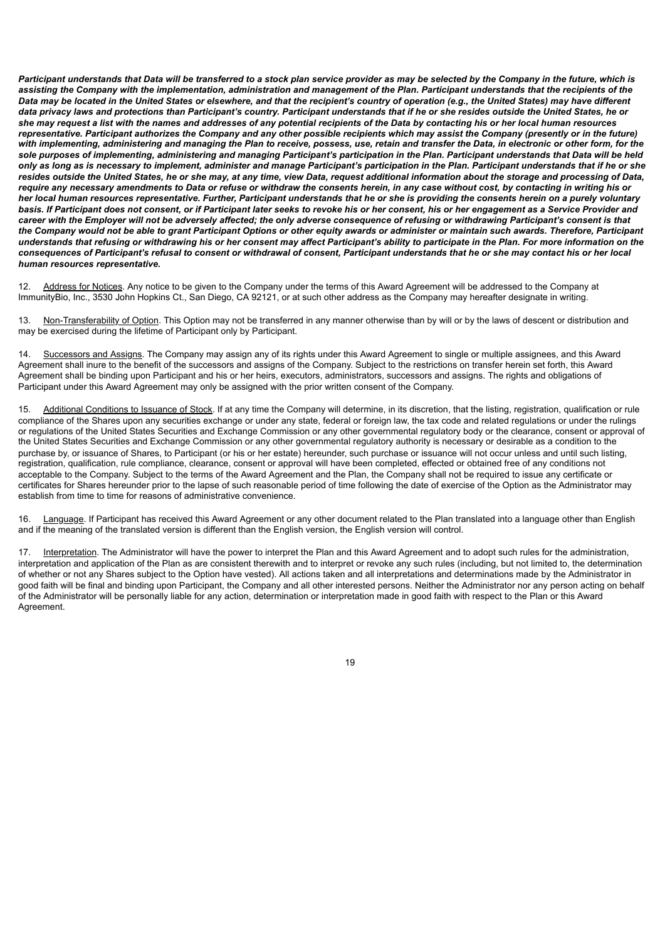*Participant understands that Data will be transferred to a stock plan service provider as may be selected by the Company in the future, which is assisting the Company with the implementation, administration and management of the Plan. Participant understands that the recipients of the Data may be located in the United States or elsewhere, and that the recipient's country of operation (e.g., the United States) may have different data privacy laws and protections than Participant's country. Participant understands that if he or she resides outside the United States, he or she may request a list with the names and addresses of any potential recipients of the Data by contacting his or her local human resources representative. Participant authorizes the Company and any other possible recipients which may assist the Company (presently or in the future) with implementing, administering and managing the Plan to receive, possess, use, retain and transfer the Data, in electronic or other form, for the sole purposes of implementing, administering and managing Participant's participation in the Plan. Participant understands that Data will be held only as long as is necessary to implement, administer and manage Participant's participation in the Plan. Participant understands that if he or she resides outside the United States, he or she may, at any time, view Data, request additional information about the storage and processing of Data, require any necessary amendments to Data or refuse or withdraw the consents herein, in any case without cost, by contacting in writing his or her local human resources representative. Further, Participant understands that he or she is providing the consents herein on a purely voluntary basis. If Participant does not consent, or if Participant later seeks to revoke his or her consent, his or her engagement as a Service Provider and career with the Employer will not be adversely affected; the only adverse consequence of refusing or withdrawing Participant's consent is that the Company would not be able to grant Participant Options or other equity awards or administer or maintain such awards. Therefore, Participant understands that refusing or withdrawing his or her consent may affect Participant's ability to participate in the Plan. For more information on the consequences of Participant's refusal to consent or withdrawal of consent, Participant understands that he or she may contact his or her local human resources representative.*

12. Address for Notices. Any notice to be given to the Company under the terms of this Award Agreement will be addressed to the Company at ImmunityBio, Inc., 3530 John Hopkins Ct., San Diego, CA 92121, or at such other address as the Company may hereafter designate in writing.

13. Non-Transferability of Option. This Option may not be transferred in any manner otherwise than by will or by the laws of descent or distribution and may be exercised during the lifetime of Participant only by Participant.

Successors and Assigns. The Company may assign any of its rights under this Award Agreement to single or multiple assignees, and this Award Agreement shall inure to the benefit of the successors and assigns of the Company. Subject to the restrictions on transfer herein set forth, this Award Agreement shall be binding upon Participant and his or her heirs, executors, administrators, successors and assigns. The rights and obligations of Participant under this Award Agreement may only be assigned with the prior written consent of the Company.

15. Additional Conditions to Issuance of Stock. If at any time the Company will determine, in its discretion, that the listing, registration, qualification or rule compliance of the Shares upon any securities exchange or under any state, federal or foreign law, the tax code and related regulations or under the rulings or regulations of the United States Securities and Exchange Commission or any other governmental regulatory body or the clearance, consent or approval of the United States Securities and Exchange Commission or any other governmental regulatory authority is necessary or desirable as a condition to the purchase by, or issuance of Shares, to Participant (or his or her estate) hereunder, such purchase or issuance will not occur unless and until such listing, registration, qualification, rule compliance, clearance, consent or approval will have been completed, effected or obtained free of any conditions not acceptable to the Company. Subject to the terms of the Award Agreement and the Plan, the Company shall not be required to issue any certificate or certificates for Shares hereunder prior to the lapse of such reasonable period of time following the date of exercise of the Option as the Administrator may establish from time to time for reasons of administrative convenience.

16. Language. If Participant has received this Award Agreement or any other document related to the Plan translated into a language other than English and if the meaning of the translated version is different than the English version, the English version will control.

17. Interpretation. The Administrator will have the power to interpret the Plan and this Award Agreement and to adopt such rules for the administration, interpretation and application of the Plan as are consistent therewith and to interpret or revoke any such rules (including, but not limited to, the determination of whether or not any Shares subject to the Option have vested). All actions taken and all interpretations and determinations made by the Administrator in good faith will be final and binding upon Participant, the Company and all other interested persons. Neither the Administrator nor any person acting on behalf of the Administrator will be personally liable for any action, determination or interpretation made in good faith with respect to the Plan or this Award Agreement.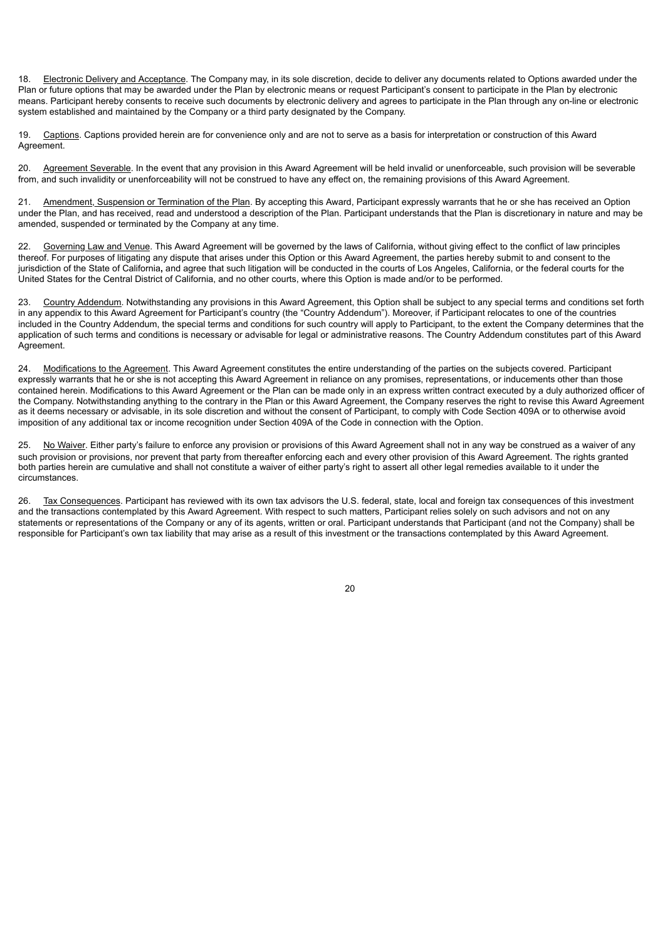18. Electronic Delivery and Acceptance. The Company may, in its sole discretion, decide to deliver any documents related to Options awarded under the Plan or future options that may be awarded under the Plan by electronic means or request Participant's consent to participate in the Plan by electronic means. Participant hereby consents to receive such documents by electronic delivery and agrees to participate in the Plan through any on-line or electronic system established and maintained by the Company or a third party designated by the Company.

19. Captions. Captions provided herein are for convenience only and are not to serve as a basis for interpretation or construction of this Award Agreement.

20. Agreement Severable. In the event that any provision in this Award Agreement will be held invalid or unenforceable, such provision will be severable from, and such invalidity or unenforceability will not be construed to have any effect on, the remaining provisions of this Award Agreement.

21. Amendment, Suspension or Termination of the Plan. By accepting this Award, Participant expressly warrants that he or she has received an Option under the Plan, and has received, read and understood a description of the Plan. Participant understands that the Plan is discretionary in nature and may be amended, suspended or terminated by the Company at any time.

22. Governing Law and Venue. This Award Agreement will be governed by the laws of California, without giving effect to the conflict of law principles thereof. For purposes of litigating any dispute that arises under this Option or this Award Agreement, the parties hereby submit to and consent to the jurisdiction of the State of California**,** and agree that such litigation will be conducted in the courts of Los Angeles, California, or the federal courts for the United States for the Central District of California, and no other courts, where this Option is made and/or to be performed.

23. Country Addendum. Notwithstanding any provisions in this Award Agreement, this Option shall be subject to any special terms and conditions set forth in any appendix to this Award Agreement for Participant's country (the "Country Addendum"). Moreover, if Participant relocates to one of the countries included in the Country Addendum, the special terms and conditions for such country will apply to Participant, to the extent the Company determines that the application of such terms and conditions is necessary or advisable for legal or administrative reasons. The Country Addendum constitutes part of this Award Agreement.

24. Modifications to the Agreement. This Award Agreement constitutes the entire understanding of the parties on the subjects covered. Participant expressly warrants that he or she is not accepting this Award Agreement in reliance on any promises, representations, or inducements other than those contained herein. Modifications to this Award Agreement or the Plan can be made only in an express written contract executed by a duly authorized officer of the Company. Notwithstanding anything to the contrary in the Plan or this Award Agreement, the Company reserves the right to revise this Award Agreement as it deems necessary or advisable, in its sole discretion and without the consent of Participant, to comply with Code Section 409A or to otherwise avoid imposition of any additional tax or income recognition under Section 409A of the Code in connection with the Option.

25. No Waiver. Either party's failure to enforce any provision or provisions of this Award Agreement shall not in any way be construed as a waiver of any such provision or provisions, nor prevent that party from thereafter enforcing each and every other provision of this Award Agreement. The rights granted both parties herein are cumulative and shall not constitute a waiver of either party's right to assert all other legal remedies available to it under the circumstances.

26. Tax Consequences. Participant has reviewed with its own tax advisors the U.S. federal, state, local and foreign tax consequences of this investment and the transactions contemplated by this Award Agreement. With respect to such matters, Participant relies solely on such advisors and not on any statements or representations of the Company or any of its agents, written or oral. Participant understands that Participant (and not the Company) shall be responsible for Participant's own tax liability that may arise as a result of this investment or the transactions contemplated by this Award Agreement.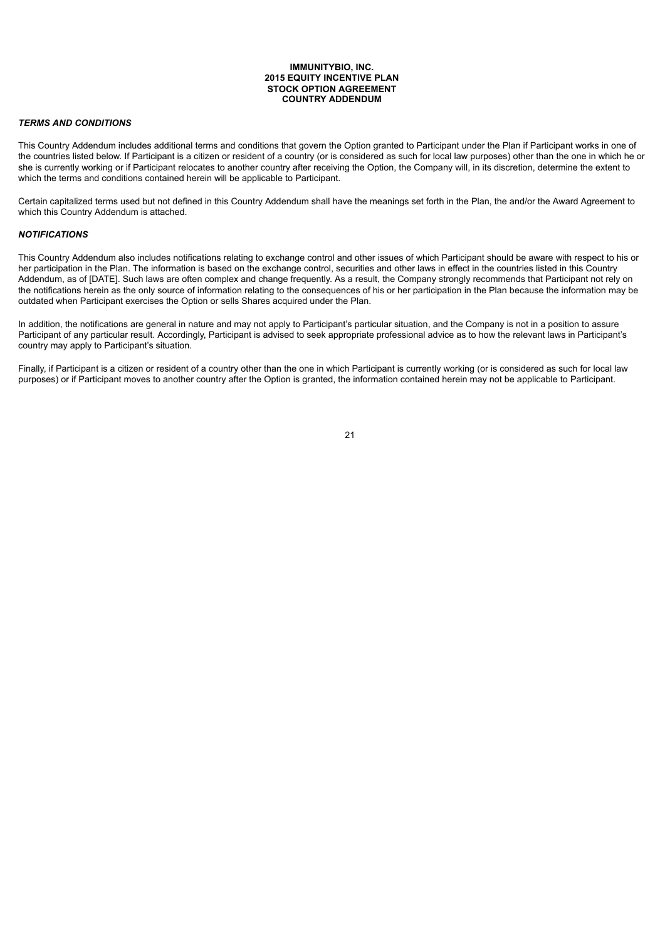#### **IMMUNITYBIO, INC. 2015 EQUITY INCENTIVE PLAN STOCK OPTION AGREEMENT COUNTRY ADDENDUM**

#### *TERMS AND CONDITIONS*

This Country Addendum includes additional terms and conditions that govern the Option granted to Participant under the Plan if Participant works in one of the countries listed below. If Participant is a citizen or resident of a country (or is considered as such for local law purposes) other than the one in which he or she is currently working or if Participant relocates to another country after receiving the Option, the Company will, in its discretion, determine the extent to which the terms and conditions contained herein will be applicable to Participant.

Certain capitalized terms used but not defined in this Country Addendum shall have the meanings set forth in the Plan, the and/or the Award Agreement to which this Country Addendum is attached.

#### *NOTIFICATIONS*

This Country Addendum also includes notifications relating to exchange control and other issues of which Participant should be aware with respect to his or her participation in the Plan. The information is based on the exchange control, securities and other laws in effect in the countries listed in this Country Addendum, as of [DATE]. Such laws are often complex and change frequently. As a result, the Company strongly recommends that Participant not rely on the notifications herein as the only source of information relating to the consequences of his or her participation in the Plan because the information may be outdated when Participant exercises the Option or sells Shares acquired under the Plan.

In addition, the notifications are general in nature and may not apply to Participant's particular situation, and the Company is not in a position to assure Participant of any particular result. Accordingly, Participant is advised to seek appropriate professional advice as to how the relevant laws in Participant's country may apply to Participant's situation.

Finally, if Participant is a citizen or resident of a country other than the one in which Participant is currently working (or is considered as such for local law purposes) or if Participant moves to another country after the Option is granted, the information contained herein may not be applicable to Participant.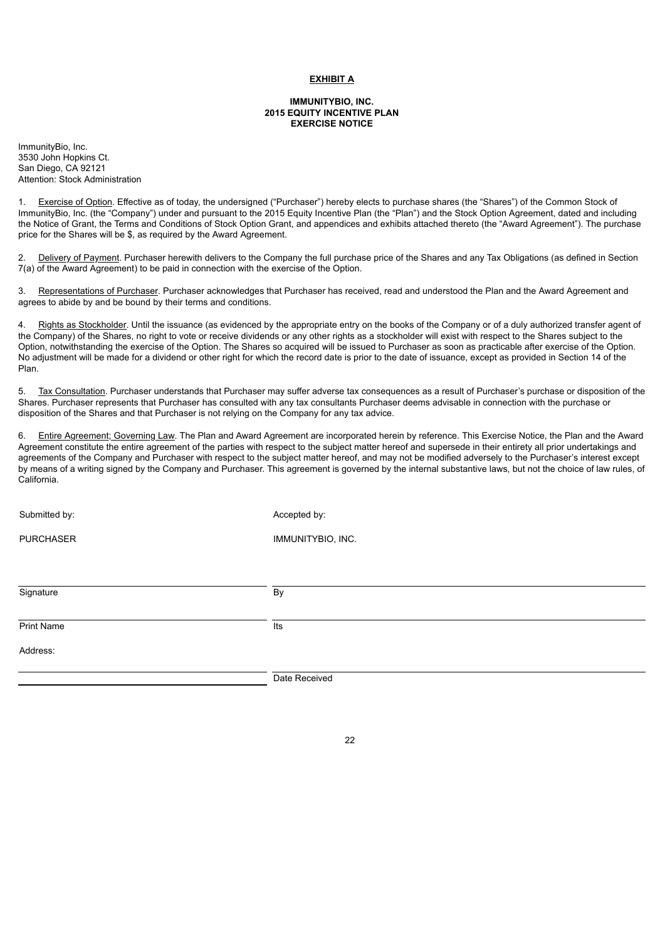#### **EXHIBIT A**

#### **IMMUNITYBIO, INC. 2015 EQUITY INCENTIVE PLAN EXERCISE NOTICE**

ImmunityBio, Inc. 3530 John Hopkins Ct. San Diego, CA 92121 Attention: Stock Administration

1. Exercise of Option. Effective as of today, the undersigned ("Purchaser") hereby elects to purchase shares (the "Shares") of the Common Stock of ImmunityBio, Inc. (the "Company") under and pursuant to the 2015 Equity Incentive Plan (the "Plan") and the Stock Option Agreement, dated and including the Notice of Grant, the Terms and Conditions of Stock Option Grant, and appendices and exhibits attached thereto (the "Award Agreement"). The purchase price for the Shares will be \$, as required by the Award Agreement.

2. Delivery of Payment. Purchaser herewith delivers to the Company the full purchase price of the Shares and any Tax Obligations (as defined in Section 7(a) of the Award Agreement) to be paid in connection with the exercise of the Option.

3. Representations of Purchaser. Purchaser acknowledges that Purchaser has received, read and understood the Plan and the Award Agreement and agrees to abide by and be bound by their terms and conditions.

Rights as Stockholder. Until the issuance (as evidenced by the appropriate entry on the books of the Company or of a duly authorized transfer agent of the Company) of the Shares, no right to vote or receive dividends or any other rights as a stockholder will exist with respect to the Shares subject to the Option, notwithstanding the exercise of the Option. The Shares so acquired will be issued to Purchaser as soon as practicable after exercise of the Option. No adjustment will be made for a dividend or other right for which the record date is prior to the date of issuance, except as provided in Section 14 of the Plan.

5. Tax Consultation. Purchaser understands that Purchaser may suffer adverse tax consequences as a result of Purchaser's purchase or disposition of the Shares. Purchaser represents that Purchaser has consulted with any tax consultants Purchaser deems advisable in connection with the purchase or disposition of the Shares and that Purchaser is not relying on the Company for any tax advice.

6. Entire Agreement; Governing Law. The Plan and Award Agreement are incorporated herein by reference. This Exercise Notice, the Plan and the Award Agreement constitute the entire agreement of the parties with respect to the subject matter hereof and supersede in their entirety all prior undertakings and agreements of the Company and Purchaser with respect to the subject matter hereof, and may not be modified adversely to the Purchaser's interest except by means of a writing signed by the Company and Purchaser. This agreement is governed by the internal substantive laws, but not the choice of law rules, of California.

Submitted by: Accepted by: Accepted by: Accepted by: Accepted by: Accepted by: Accepted by: Accepted by: Accepted by: Accepted by: Accepted by: Accepted by: Accepted by: Accepted by: Accepted by: Accepted by: Accepted by:

PURCHASER IMMUNITYBIO, INC.

| Signature         | By            |
|-------------------|---------------|
| <b>Print Name</b> | lts           |
| Address:          |               |
|                   | Date Received |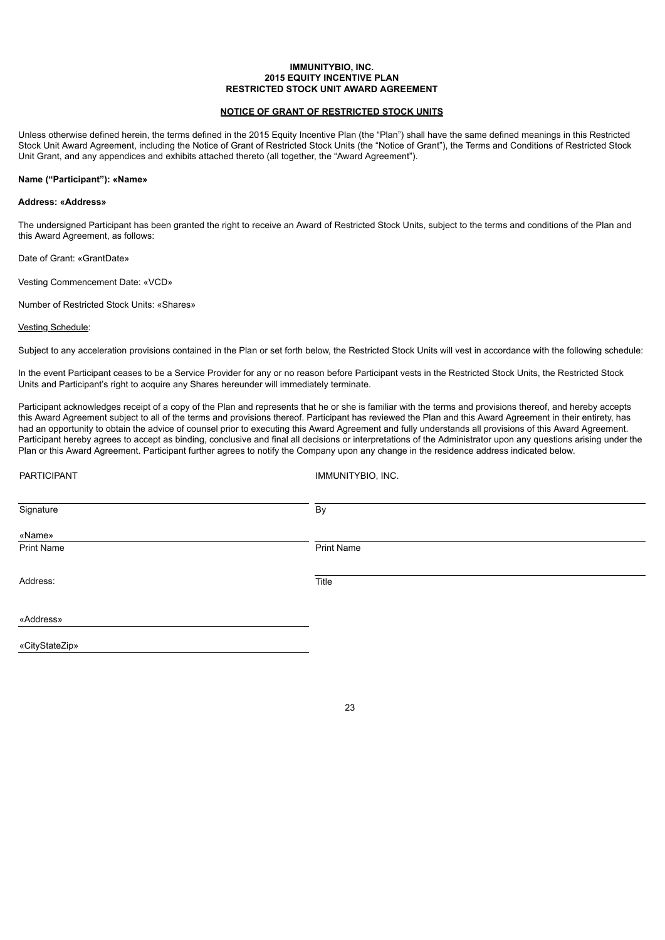#### **IMMUNITYBIO, INC. 2015 EQUITY INCENTIVE PLAN RESTRICTED STOCK UNIT AWARD AGREEMENT**

#### **NOTICE OF GRANT OF RESTRICTED STOCK UNITS**

Unless otherwise defined herein, the terms defined in the 2015 Equity Incentive Plan (the "Plan") shall have the same defined meanings in this Restricted Stock Unit Award Agreement, including the Notice of Grant of Restricted Stock Units (the "Notice of Grant"), the Terms and Conditions of Restricted Stock Unit Grant, and any appendices and exhibits attached thereto (all together, the "Award Agreement").

#### **Name ("Participant"): «Name»**

#### **Address: «Address»**

The undersigned Participant has been granted the right to receive an Award of Restricted Stock Units, subject to the terms and conditions of the Plan and this Award Agreement, as follows:

Date of Grant: «GrantDate»

Vesting Commencement Date: «VCD»

Number of Restricted Stock Units: «Shares»

#### Vesting Schedule:

Subject to any acceleration provisions contained in the Plan or set forth below, the Restricted Stock Units will vest in accordance with the following schedule:

In the event Participant ceases to be a Service Provider for any or no reason before Participant vests in the Restricted Stock Units, the Restricted Stock Units and Participant's right to acquire any Shares hereunder will immediately terminate.

Participant acknowledges receipt of a copy of the Plan and represents that he or she is familiar with the terms and provisions thereof, and hereby accepts this Award Agreement subject to all of the terms and provisions thereof. Participant has reviewed the Plan and this Award Agreement in their entirety, has had an opportunity to obtain the advice of counsel prior to executing this Award Agreement and fully understands all provisions of this Award Agreement. Participant hereby agrees to accept as binding, conclusive and final all decisions or interpretations of the Administrator upon any questions arising under the Plan or this Award Agreement. Participant further agrees to notify the Company upon any change in the residence address indicated below.

| PARTICIPANT    | IMMUNITYBIO, INC. |  |
|----------------|-------------------|--|
| Signature      | By                |  |
| «Name»         |                   |  |
| Print Name     | Print Name        |  |
|                |                   |  |
| Address:       | Title             |  |
|                |                   |  |
| «Address»      |                   |  |
| «CityStateZip» |                   |  |
|                |                   |  |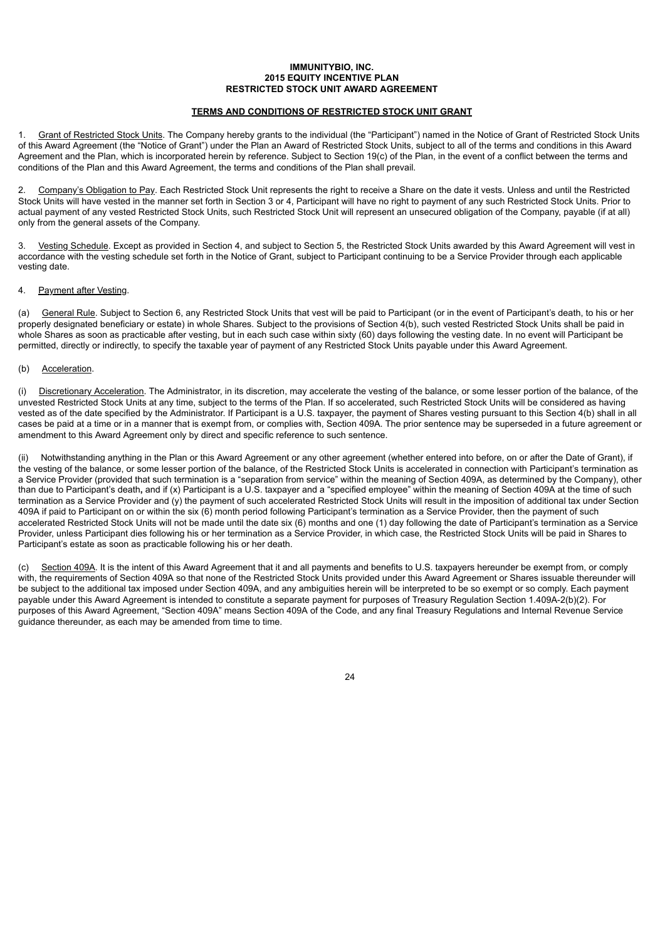#### **IMMUNITYBIO, INC. 2015 EQUITY INCENTIVE PLAN RESTRICTED STOCK UNIT AWARD AGREEMENT**

#### **TERMS AND CONDITIONS OF RESTRICTED STOCK UNIT GRANT**

1. Grant of Restricted Stock Units. The Company hereby grants to the individual (the "Participant") named in the Notice of Grant of Restricted Stock Units of this Award Agreement (the "Notice of Grant") under the Plan an Award of Restricted Stock Units, subject to all of the terms and conditions in this Award Agreement and the Plan, which is incorporated herein by reference. Subject to Section 19(c) of the Plan, in the event of a conflict between the terms and conditions of the Plan and this Award Agreement, the terms and conditions of the Plan shall prevail.

2. Company's Obligation to Pay. Each Restricted Stock Unit represents the right to receive a Share on the date it vests. Unless and until the Restricted Stock Units will have vested in the manner set forth in Section 3 or 4, Participant will have no right to payment of any such Restricted Stock Units. Prior to actual payment of any vested Restricted Stock Units, such Restricted Stock Unit will represent an unsecured obligation of the Company, payable (if at all) only from the general assets of the Company.

3. Vesting Schedule. Except as provided in Section 4, and subject to Section 5, the Restricted Stock Units awarded by this Award Agreement will vest in accordance with the vesting schedule set forth in the Notice of Grant, subject to Participant continuing to be a Service Provider through each applicable vesting date.

#### 4. Payment after Vesting.

(a) General Rule. Subject to Section 6, any Restricted Stock Units that vest will be paid to Participant (or in the event of Participant's death, to his or her properly designated beneficiary or estate) in whole Shares. Subject to the provisions of Section 4(b), such vested Restricted Stock Units shall be paid in whole Shares as soon as practicable after vesting, but in each such case within sixty (60) days following the vesting date. In no event will Participant be permitted, directly or indirectly, to specify the taxable year of payment of any Restricted Stock Units payable under this Award Agreement.

#### (b) Acceleration.

(i) Discretionary Acceleration. The Administrator, in its discretion, may accelerate the vesting of the balance, or some lesser portion of the balance, of the unvested Restricted Stock Units at any time, subject to the terms of the Plan. If so accelerated, such Restricted Stock Units will be considered as having vested as of the date specified by the Administrator. If Participant is a U.S. taxpayer, the payment of Shares vesting pursuant to this Section 4(b) shall in all cases be paid at a time or in a manner that is exempt from, or complies with, Section 409A. The prior sentence may be superseded in a future agreement or amendment to this Award Agreement only by direct and specific reference to such sentence.

(ii) Notwithstanding anything in the Plan or this Award Agreement or any other agreement (whether entered into before, on or after the Date of Grant), if the vesting of the balance, or some lesser portion of the balance, of the Restricted Stock Units is accelerated in connection with Participant's termination as a Service Provider (provided that such termination is a "separation from service" within the meaning of Section 409A, as determined by the Company), other than due to Participant's death**,** and if (x) Participant is a U.S. taxpayer and a "specified employee" within the meaning of Section 409A at the time of such termination as a Service Provider and (y) the payment of such accelerated Restricted Stock Units will result in the imposition of additional tax under Section 409A if paid to Participant on or within the six (6) month period following Participant's termination as a Service Provider, then the payment of such accelerated Restricted Stock Units will not be made until the date six (6) months and one (1) day following the date of Participant's termination as a Service Provider, unless Participant dies following his or her termination as a Service Provider, in which case, the Restricted Stock Units will be paid in Shares to Participant's estate as soon as practicable following his or her death.

(c) Section 409A. It is the intent of this Award Agreement that it and all payments and benefits to U.S. taxpayers hereunder be exempt from, or comply with, the requirements of Section 409A so that none of the Restricted Stock Units provided under this Award Agreement or Shares issuable thereunder will be subject to the additional tax imposed under Section 409A, and any ambiguities herein will be interpreted to be so exempt or so comply. Each payment payable under this Award Agreement is intended to constitute a separate payment for purposes of Treasury Regulation Section 1.409A-2(b)(2). For purposes of this Award Agreement, "Section 409A" means Section 409A of the Code, and any final Treasury Regulations and Internal Revenue Service guidance thereunder, as each may be amended from time to time.

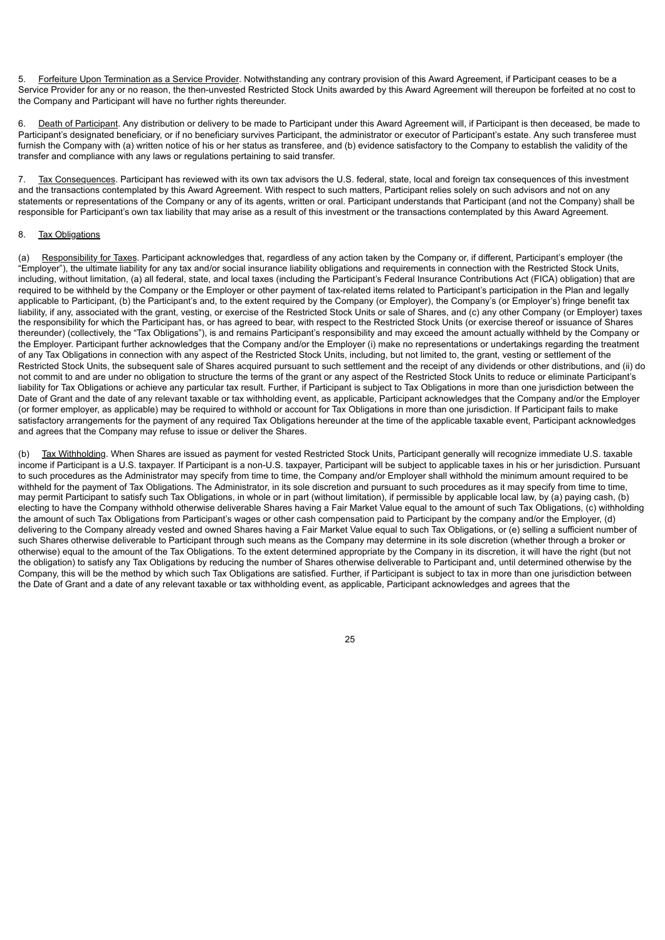5. Forfeiture Upon Termination as a Service Provider. Notwithstanding any contrary provision of this Award Agreement, if Participant ceases to be a Service Provider for any or no reason, the then-unvested Restricted Stock Units awarded by this Award Agreement will thereupon be forfeited at no cost to the Company and Participant will have no further rights thereunder.

6. Death of Participant. Any distribution or delivery to be made to Participant under this Award Agreement will, if Participant is then deceased, be made to Participant's designated beneficiary, or if no beneficiary survives Participant, the administrator or executor of Participant's estate. Any such transferee must furnish the Company with (a) written notice of his or her status as transferee, and (b) evidence satisfactory to the Company to establish the validity of the transfer and compliance with any laws or regulations pertaining to said transfer.

7. Tax Consequences. Participant has reviewed with its own tax advisors the U.S. federal, state, local and foreign tax consequences of this investment and the transactions contemplated by this Award Agreement. With respect to such matters, Participant relies solely on such advisors and not on any statements or representations of the Company or any of its agents, written or oral. Participant understands that Participant (and not the Company) shall be responsible for Participant's own tax liability that may arise as a result of this investment or the transactions contemplated by this Award Agreement.

#### 8. Tax Obligations

(a) Responsibility for Taxes. Participant acknowledges that, regardless of any action taken by the Company or, if different, Participant's employer (the "Employer"), the ultimate liability for any tax and/or social insurance liability obligations and requirements in connection with the Restricted Stock Units, including, without limitation, (a) all federal, state, and local taxes (including the Participant's Federal Insurance Contributions Act (FICA) obligation) that are required to be withheld by the Company or the Employer or other payment of tax-related items related to Participant's participation in the Plan and legally applicable to Participant, (b) the Participant's and, to the extent required by the Company (or Employer), the Company's (or Employer's) fringe benefit tax liability, if any, associated with the grant, vesting, or exercise of the Restricted Stock Units or sale of Shares, and (c) any other Company (or Employer) taxes the responsibility for which the Participant has, or has agreed to bear, with respect to the Restricted Stock Units (or exercise thereof or issuance of Shares thereunder) (collectively, the "Tax Obligations"), is and remains Participant's responsibility and may exceed the amount actually withheld by the Company or the Employer. Participant further acknowledges that the Company and/or the Employer (i) make no representations or undertakings regarding the treatment of any Tax Obligations in connection with any aspect of the Restricted Stock Units, including, but not limited to, the grant, vesting or settlement of the Restricted Stock Units, the subsequent sale of Shares acquired pursuant to such settlement and the receipt of any dividends or other distributions, and (ii) do not commit to and are under no obligation to structure the terms of the grant or any aspect of the Restricted Stock Units to reduce or eliminate Participant's liability for Tax Obligations or achieve any particular tax result. Further, if Participant is subject to Tax Obligations in more than one jurisdiction between the Date of Grant and the date of any relevant taxable or tax withholding event, as applicable, Participant acknowledges that the Company and/or the Employer (or former employer, as applicable) may be required to withhold or account for Tax Obligations in more than one jurisdiction. If Participant fails to make satisfactory arrangements for the payment of any required Tax Obligations hereunder at the time of the applicable taxable event, Participant acknowledges and agrees that the Company may refuse to issue or deliver the Shares.

(b) Tax Withholding. When Shares are issued as payment for vested Restricted Stock Units, Participant generally will recognize immediate U.S. taxable income if Participant is a U.S. taxpayer. If Participant is a non-U.S. taxpayer, Participant will be subject to applicable taxes in his or her jurisdiction. Pursuant to such procedures as the Administrator may specify from time to time, the Company and/or Employer shall withhold the minimum amount required to be withheld for the payment of Tax Obligations. The Administrator, in its sole discretion and pursuant to such procedures as it may specify from time to time, may permit Participant to satisfy such Tax Obligations, in whole or in part (without limitation), if permissible by applicable local law, by (a) paying cash, (b) electing to have the Company withhold otherwise deliverable Shares having a Fair Market Value equal to the amount of such Tax Obligations, (c) withholding the amount of such Tax Obligations from Participant's wages or other cash compensation paid to Participant by the company and/or the Employer, (d) delivering to the Company already vested and owned Shares having a Fair Market Value equal to such Tax Obligations, or (e) selling a sufficient number of such Shares otherwise deliverable to Participant through such means as the Company may determine in its sole discretion (whether through a broker or otherwise) equal to the amount of the Tax Obligations. To the extent determined appropriate by the Company in its discretion, it will have the right (but not the obligation) to satisfy any Tax Obligations by reducing the number of Shares otherwise deliverable to Participant and, until determined otherwise by the Company, this will be the method by which such Tax Obligations are satisfied. Further, if Participant is subject to tax in more than one jurisdiction between the Date of Grant and a date of any relevant taxable or tax withholding event, as applicable, Participant acknowledges and agrees that the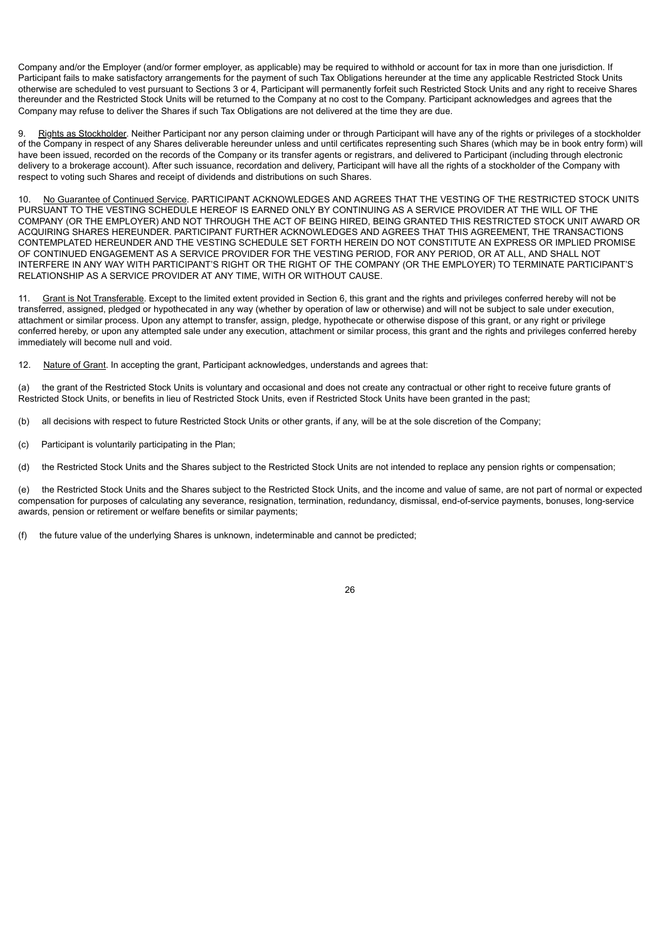Company and/or the Employer (and/or former employer, as applicable) may be required to withhold or account for tax in more than one jurisdiction. If Participant fails to make satisfactory arrangements for the payment of such Tax Obligations hereunder at the time any applicable Restricted Stock Units otherwise are scheduled to vest pursuant to Sections 3 or 4, Participant will permanently forfeit such Restricted Stock Units and any right to receive Shares thereunder and the Restricted Stock Units will be returned to the Company at no cost to the Company. Participant acknowledges and agrees that the Company may refuse to deliver the Shares if such Tax Obligations are not delivered at the time they are due.

9. Rights as Stockholder. Neither Participant nor any person claiming under or through Participant will have any of the rights or privileges of a stockholder of the Company in respect of any Shares deliverable hereunder unless and until certificates representing such Shares (which may be in book entry form) will have been issued, recorded on the records of the Company or its transfer agents or registrars, and delivered to Participant (including through electronic delivery to a brokerage account). After such issuance, recordation and delivery, Participant will have all the rights of a stockholder of the Company with respect to voting such Shares and receipt of dividends and distributions on such Shares.

No Guarantee of Continued Service. PARTICIPANT ACKNOWLEDGES AND AGREES THAT THE VESTING OF THE RESTRICTED STOCK UNITS PURSUANT TO THE VESTING SCHEDULE HEREOF IS EARNED ONLY BY CONTINUING AS A SERVICE PROVIDER AT THE WILL OF THE COMPANY (OR THE EMPLOYER) AND NOT THROUGH THE ACT OF BEING HIRED, BEING GRANTED THIS RESTRICTED STOCK UNIT AWARD OR ACQUIRING SHARES HEREUNDER. PARTICIPANT FURTHER ACKNOWLEDGES AND AGREES THAT THIS AGREEMENT, THE TRANSACTIONS CONTEMPLATED HEREUNDER AND THE VESTING SCHEDULE SET FORTH HEREIN DO NOT CONSTITUTE AN EXPRESS OR IMPLIED PROMISE OF CONTINUED ENGAGEMENT AS A SERVICE PROVIDER FOR THE VESTING PERIOD, FOR ANY PERIOD, OR AT ALL, AND SHALL NOT INTERFERE IN ANY WAY WITH PARTICIPANT'S RIGHT OR THE RIGHT OF THE COMPANY (OR THE EMPLOYER) TO TERMINATE PARTICIPANT'S RELATIONSHIP AS A SERVICE PROVIDER AT ANY TIME, WITH OR WITHOUT CAUSE.

11. Grant is Not Transferable. Except to the limited extent provided in Section 6, this grant and the rights and privileges conferred hereby will not be transferred, assigned, pledged or hypothecated in any way (whether by operation of law or otherwise) and will not be subject to sale under execution, attachment or similar process. Upon any attempt to transfer, assign, pledge, hypothecate or otherwise dispose of this grant, or any right or privilege conferred hereby, or upon any attempted sale under any execution, attachment or similar process, this grant and the rights and privileges conferred hereby immediately will become null and void.

12. Nature of Grant. In accepting the grant, Participant acknowledges, understands and agrees that:

(a) the grant of the Restricted Stock Units is voluntary and occasional and does not create any contractual or other right to receive future grants of Restricted Stock Units, or benefits in lieu of Restricted Stock Units, even if Restricted Stock Units have been granted in the past;

(b) all decisions with respect to future Restricted Stock Units or other grants, if any, will be at the sole discretion of the Company;

(c) Participant is voluntarily participating in the Plan;

(d) the Restricted Stock Units and the Shares subject to the Restricted Stock Units are not intended to replace any pension rights or compensation;

(e) the Restricted Stock Units and the Shares subject to the Restricted Stock Units, and the income and value of same, are not part of normal or expected compensation for purposes of calculating any severance, resignation, termination, redundancy, dismissal, end-of-service payments, bonuses, long-service awards, pension or retirement or welfare benefits or similar payments;

(f) the future value of the underlying Shares is unknown, indeterminable and cannot be predicted;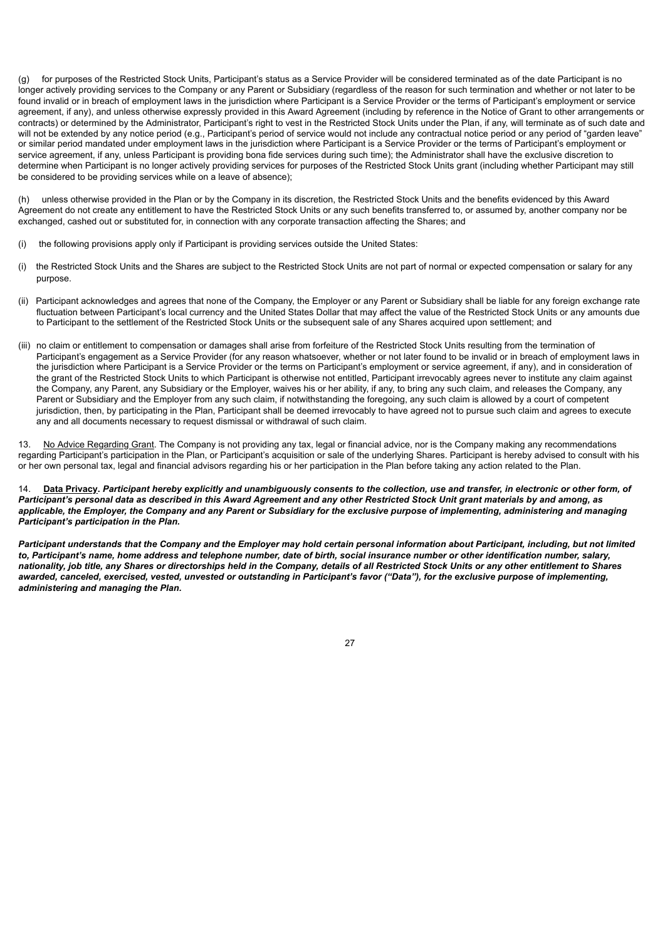(g) for purposes of the Restricted Stock Units, Participant's status as a Service Provider will be considered terminated as of the date Participant is no longer actively providing services to the Company or any Parent or Subsidiary (regardless of the reason for such termination and whether or not later to be found invalid or in breach of employment laws in the jurisdiction where Participant is a Service Provider or the terms of Participant's employment or service agreement, if any), and unless otherwise expressly provided in this Award Agreement (including by reference in the Notice of Grant to other arrangements or contracts) or determined by the Administrator, Participant's right to vest in the Restricted Stock Units under the Plan, if any, will terminate as of such date and will not be extended by any notice period (e.g., Participant's period of service would not include any contractual notice period or any period of "garden leave" or similar period mandated under employment laws in the jurisdiction where Participant is a Service Provider or the terms of Participant's employment or service agreement, if any, unless Participant is providing bona fide services during such time); the Administrator shall have the exclusive discretion to determine when Participant is no longer actively providing services for purposes of the Restricted Stock Units grant (including whether Participant may still be considered to be providing services while on a leave of absence);

unless otherwise provided in the Plan or by the Company in its discretion, the Restricted Stock Units and the benefits evidenced by this Award Agreement do not create any entitlement to have the Restricted Stock Units or any such benefits transferred to, or assumed by, another company nor be exchanged, cashed out or substituted for, in connection with any corporate transaction affecting the Shares; and

- (i) the following provisions apply only if Participant is providing services outside the United States:
- (i) the Restricted Stock Units and the Shares are subject to the Restricted Stock Units are not part of normal or expected compensation or salary for any purpose.
- (ii) Participant acknowledges and agrees that none of the Company, the Employer or any Parent or Subsidiary shall be liable for any foreign exchange rate fluctuation between Participant's local currency and the United States Dollar that may affect the value of the Restricted Stock Units or any amounts due to Participant to the settlement of the Restricted Stock Units or the subsequent sale of any Shares acquired upon settlement; and
- (iii) no claim or entitlement to compensation or damages shall arise from forfeiture of the Restricted Stock Units resulting from the termination of Participant's engagement as a Service Provider (for any reason whatsoever, whether or not later found to be invalid or in breach of employment laws in the jurisdiction where Participant is a Service Provider or the terms on Participant's employment or service agreement, if any), and in consideration of the grant of the Restricted Stock Units to which Participant is otherwise not entitled, Participant irrevocably agrees never to institute any claim against the Company, any Parent, any Subsidiary or the Employer, waives his or her ability, if any, to bring any such claim, and releases the Company, any Parent or Subsidiary and the Employer from any such claim, if notwithstanding the foregoing, any such claim is allowed by a court of competent jurisdiction, then, by participating in the Plan, Participant shall be deemed irrevocably to have agreed not to pursue such claim and agrees to execute any and all documents necessary to request dismissal or withdrawal of such claim.

13. No Advice Regarding Grant. The Company is not providing any tax, legal or financial advice, nor is the Company making any recommendations regarding Participant's participation in the Plan, or Participant's acquisition or sale of the underlying Shares. Participant is hereby advised to consult with his or her own personal tax, legal and financial advisors regarding his or her participation in the Plan before taking any action related to the Plan.

14. **Data Privacy.** *Participant hereby explicitly and unambiguously consents to the collection, use and transfer, in electronic or other form, of Participant's personal data as described in this Award Agreement and any other Restricted Stock Unit grant materials by and among, as applicable, the Employer, the Company and any Parent or Subsidiary for the exclusive purpose of implementing, administering and managing Participant's participation in the Plan.*

*Participant understands that the Company and the Employer may hold certain personal information about Participant, including, but not limited to, Participant's name, home address and telephone number, date of birth, social insurance number or other identification number, salary, nationality, job title, any Shares or directorships held in the Company, details of all Restricted Stock Units or any other entitlement to Shares awarded, canceled, exercised, vested, unvested or outstanding in Participant's favor ("Data"), for the exclusive purpose of implementing, administering and managing the Plan.*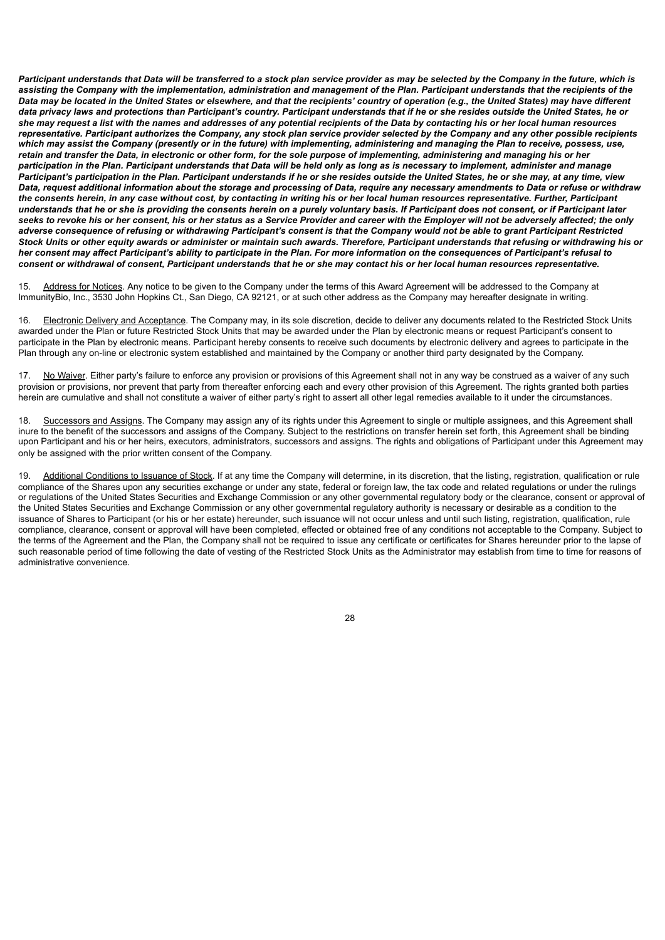*Participant understands that Data will be transferred to a stock plan service provider as may be selected by the Company in the future, which is assisting the Company with the implementation, administration and management of the Plan. Participant understands that the recipients of the Data may be located in the United States or elsewhere, and that the recipients' country of operation (e.g., the United States) may have different data privacy laws and protections than Participant's country. Participant understands that if he or she resides outside the United States, he or she may request a list with the names and addresses of any potential recipients of the Data by contacting his or her local human resources representative. Participant authorizes the Company, any stock plan service provider selected by the Company and any other possible recipients which may assist the Company (presently or in the future) with implementing, administering and managing the Plan to receive, possess, use, retain and transfer the Data, in electronic or other form, for the sole purpose of implementing, administering and managing his or her participation in the Plan. Participant understands that Data will be held only as long as is necessary to implement, administer and manage Participant's participation in the Plan. Participant understands if he or she resides outside the United States, he or she may, at any time, view Data, request additional information about the storage and processing of Data, require any necessary amendments to Data or refuse or withdraw the consents herein, in any case without cost, by contacting in writing his or her local human resources representative. Further, Participant understands that he or she is providing the consents herein on a purely voluntary basis. If Participant does not consent, or if Participant later seeks to revoke his or her consent, his or her status as a Service Provider and career with the Employer will not be adversely affected; the only adverse consequence of refusing or withdrawing Participant's consent is that the Company would not be able to grant Participant Restricted Stock Units or other equity awards or administer or maintain such awards. Therefore, Participant understands that refusing or withdrawing his or her consent may affect Participant's ability to participate in the Plan. For more information on the consequences of Participant's refusal to consent or withdrawal of consent, Participant understands that he or she may contact his or her local human resources representative.*

15. Address for Notices. Any notice to be given to the Company under the terms of this Award Agreement will be addressed to the Company at ImmunityBio, Inc., 3530 John Hopkins Ct., San Diego, CA 92121, or at such other address as the Company may hereafter designate in writing.

16. Electronic Delivery and Acceptance. The Company may, in its sole discretion, decide to deliver any documents related to the Restricted Stock Units awarded under the Plan or future Restricted Stock Units that may be awarded under the Plan by electronic means or request Participant's consent to participate in the Plan by electronic means. Participant hereby consents to receive such documents by electronic delivery and agrees to participate in the Plan through any on-line or electronic system established and maintained by the Company or another third party designated by the Company.

No Waiver. Either party's failure to enforce any provision or provisions of this Agreement shall not in any way be construed as a waiver of any such provision or provisions, nor prevent that party from thereafter enforcing each and every other provision of this Agreement. The rights granted both parties herein are cumulative and shall not constitute a waiver of either party's right to assert all other legal remedies available to it under the circumstances.

18. Successors and Assigns. The Company may assign any of its rights under this Agreement to single or multiple assignees, and this Agreement shall inure to the benefit of the successors and assigns of the Company. Subject to the restrictions on transfer herein set forth, this Agreement shall be binding upon Participant and his or her heirs, executors, administrators, successors and assigns. The rights and obligations of Participant under this Agreement may only be assigned with the prior written consent of the Company.

19. Additional Conditions to Issuance of Stock. If at any time the Company will determine, in its discretion, that the listing, registration, qualification or rule compliance of the Shares upon any securities exchange or under any state, federal or foreign law, the tax code and related regulations or under the rulings or regulations of the United States Securities and Exchange Commission or any other governmental regulatory body or the clearance, consent or approval of the United States Securities and Exchange Commission or any other governmental regulatory authority is necessary or desirable as a condition to the issuance of Shares to Participant (or his or her estate) hereunder, such issuance will not occur unless and until such listing, registration, qualification, rule compliance, clearance, consent or approval will have been completed, effected or obtained free of any conditions not acceptable to the Company. Subject to the terms of the Agreement and the Plan, the Company shall not be required to issue any certificate or certificates for Shares hereunder prior to the lapse of such reasonable period of time following the date of vesting of the Restricted Stock Units as the Administrator may establish from time to time for reasons of administrative convenience.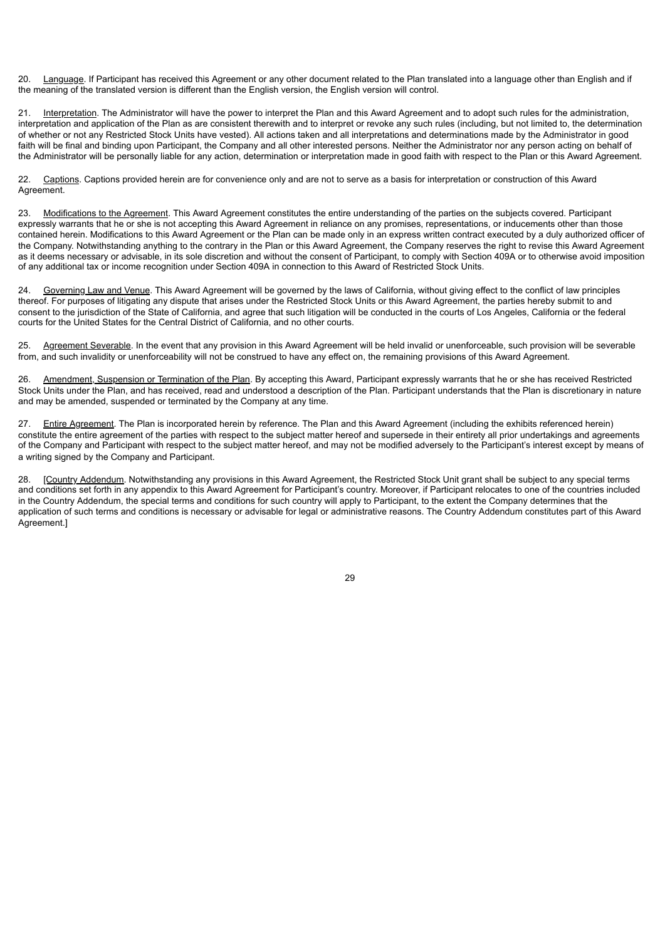20. Language. If Participant has received this Agreement or any other document related to the Plan translated into a language other than English and if the meaning of the translated version is different than the English version, the English version will control.

21. Interpretation. The Administrator will have the power to interpret the Plan and this Award Agreement and to adopt such rules for the administration, interpretation and application of the Plan as are consistent therewith and to interpret or revoke any such rules (including, but not limited to, the determination of whether or not any Restricted Stock Units have vested). All actions taken and all interpretations and determinations made by the Administrator in good faith will be final and binding upon Participant, the Company and all other interested persons. Neither the Administrator nor any person acting on behalf of the Administrator will be personally liable for any action, determination or interpretation made in good faith with respect to the Plan or this Award Agreement.

22. Captions. Captions provided herein are for convenience only and are not to serve as a basis for interpretation or construction of this Award Agreement.

23. Modifications to the Agreement. This Award Agreement constitutes the entire understanding of the parties on the subjects covered. Participant expressly warrants that he or she is not accepting this Award Agreement in reliance on any promises, representations, or inducements other than those contained herein. Modifications to this Award Agreement or the Plan can be made only in an express written contract executed by a duly authorized officer of the Company. Notwithstanding anything to the contrary in the Plan or this Award Agreement, the Company reserves the right to revise this Award Agreement as it deems necessary or advisable, in its sole discretion and without the consent of Participant, to comply with Section 409A or to otherwise avoid imposition of any additional tax or income recognition under Section 409A in connection to this Award of Restricted Stock Units.

24. Governing Law and Venue. This Award Agreement will be governed by the laws of California, without giving effect to the conflict of law principles thereof. For purposes of litigating any dispute that arises under the Restricted Stock Units or this Award Agreement, the parties hereby submit to and consent to the jurisdiction of the State of California, and agree that such litigation will be conducted in the courts of Los Angeles, California or the federal courts for the United States for the Central District of California, and no other courts.

25. Agreement Severable. In the event that any provision in this Award Agreement will be held invalid or unenforceable, such provision will be severable from, and such invalidity or unenforceability will not be construed to have any effect on, the remaining provisions of this Award Agreement.

26. Amendment, Suspension or Termination of the Plan. By accepting this Award, Participant expressly warrants that he or she has received Restricted Stock Units under the Plan, and has received, read and understood a description of the Plan. Participant understands that the Plan is discretionary in nature and may be amended, suspended or terminated by the Company at any time.

27. Entire Agreement. The Plan is incorporated herein by reference. The Plan and this Award Agreement (including the exhibits referenced herein) constitute the entire agreement of the parties with respect to the subject matter hereof and supersede in their entirety all prior undertakings and agreements of the Company and Participant with respect to the subject matter hereof, and may not be modified adversely to the Participant's interest except by means of a writing signed by the Company and Participant.

28. [Country Addendum. Notwithstanding any provisions in this Award Agreement, the Restricted Stock Unit grant shall be subject to any special terms and conditions set forth in any appendix to this Award Agreement for Participant's country. Moreover, if Participant relocates to one of the countries included in the Country Addendum, the special terms and conditions for such country will apply to Participant, to the extent the Company determines that the application of such terms and conditions is necessary or advisable for legal or administrative reasons. The Country Addendum constitutes part of this Award Agreement.]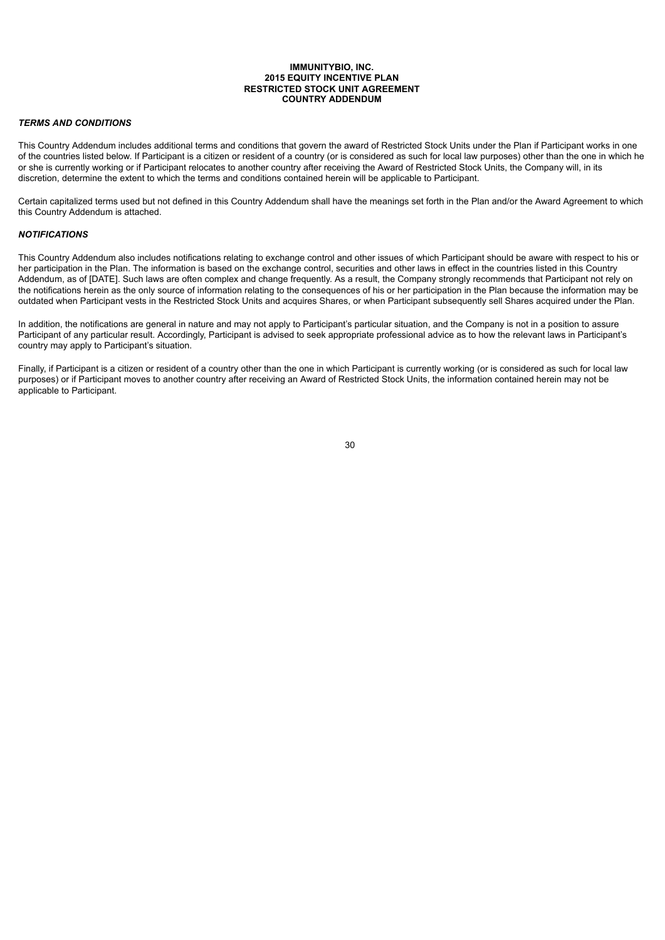#### **IMMUNITYBIO, INC. 2015 EQUITY INCENTIVE PLAN RESTRICTED STOCK UNIT AGREEMENT COUNTRY ADDENDUM**

#### *TERMS AND CONDITIONS*

This Country Addendum includes additional terms and conditions that govern the award of Restricted Stock Units under the Plan if Participant works in one of the countries listed below. If Participant is a citizen or resident of a country (or is considered as such for local law purposes) other than the one in which he or she is currently working or if Participant relocates to another country after receiving the Award of Restricted Stock Units, the Company will, in its discretion, determine the extent to which the terms and conditions contained herein will be applicable to Participant.

Certain capitalized terms used but not defined in this Country Addendum shall have the meanings set forth in the Plan and/or the Award Agreement to which this Country Addendum is attached.

#### *NOTIFICATIONS*

This Country Addendum also includes notifications relating to exchange control and other issues of which Participant should be aware with respect to his or her participation in the Plan. The information is based on the exchange control, securities and other laws in effect in the countries listed in this Country Addendum, as of [DATE]. Such laws are often complex and change frequently. As a result, the Company strongly recommends that Participant not rely on the notifications herein as the only source of information relating to the consequences of his or her participation in the Plan because the information may be outdated when Participant vests in the Restricted Stock Units and acquires Shares, or when Participant subsequently sell Shares acquired under the Plan.

In addition, the notifications are general in nature and may not apply to Participant's particular situation, and the Company is not in a position to assure Participant of any particular result. Accordingly, Participant is advised to seek appropriate professional advice as to how the relevant laws in Participant's country may apply to Participant's situation.

Finally, if Participant is a citizen or resident of a country other than the one in which Participant is currently working (or is considered as such for local law purposes) or if Participant moves to another country after receiving an Award of Restricted Stock Units, the information contained herein may not be applicable to Participant.